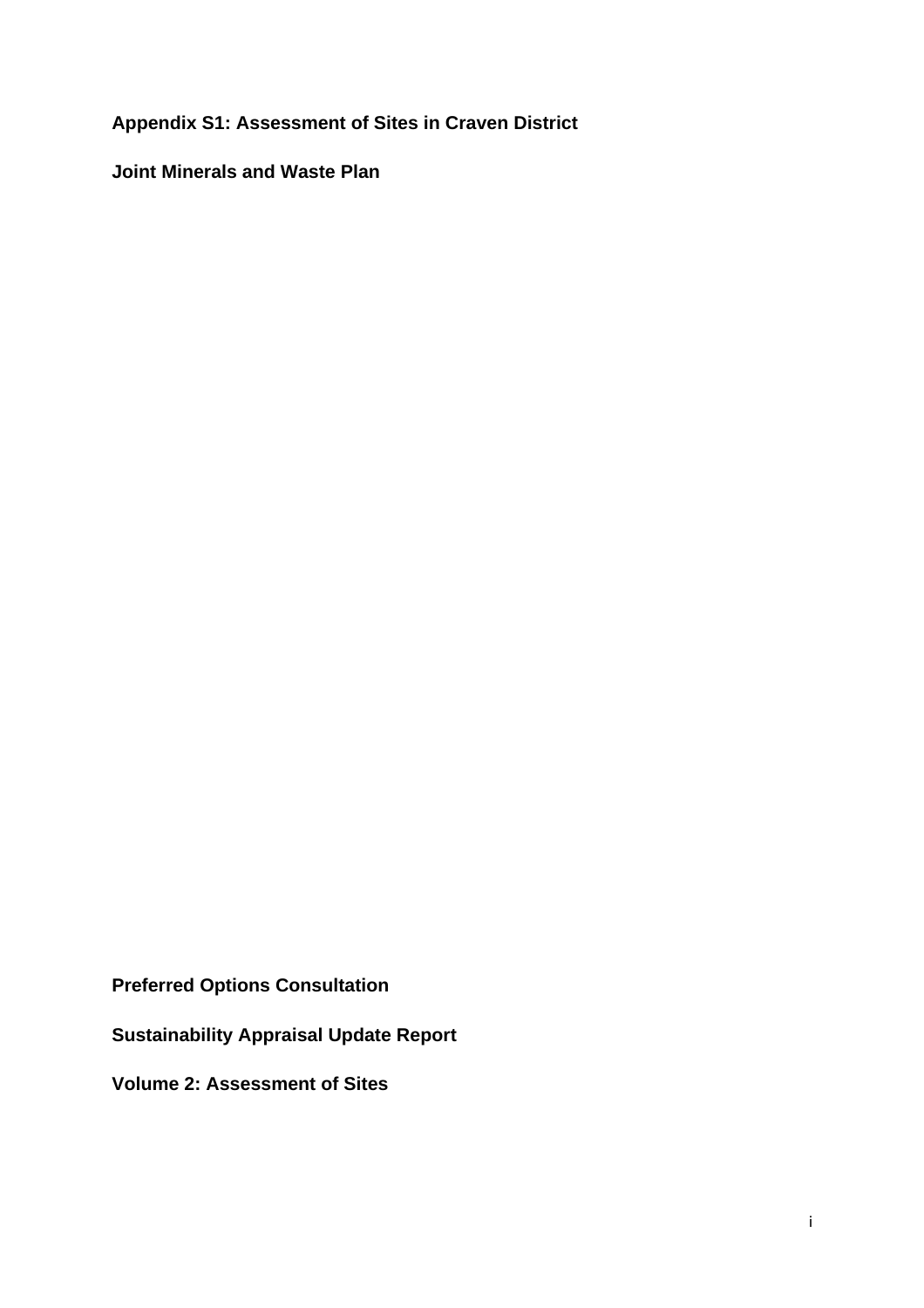**Appendix S1: Assessment of Sites in Craven District** 

**Joint Minerals and Waste Plan** 

**Preferred Options Consultation** 

**Sustainability Appraisal Update Report** 

**Volume 2: Assessment of Sites**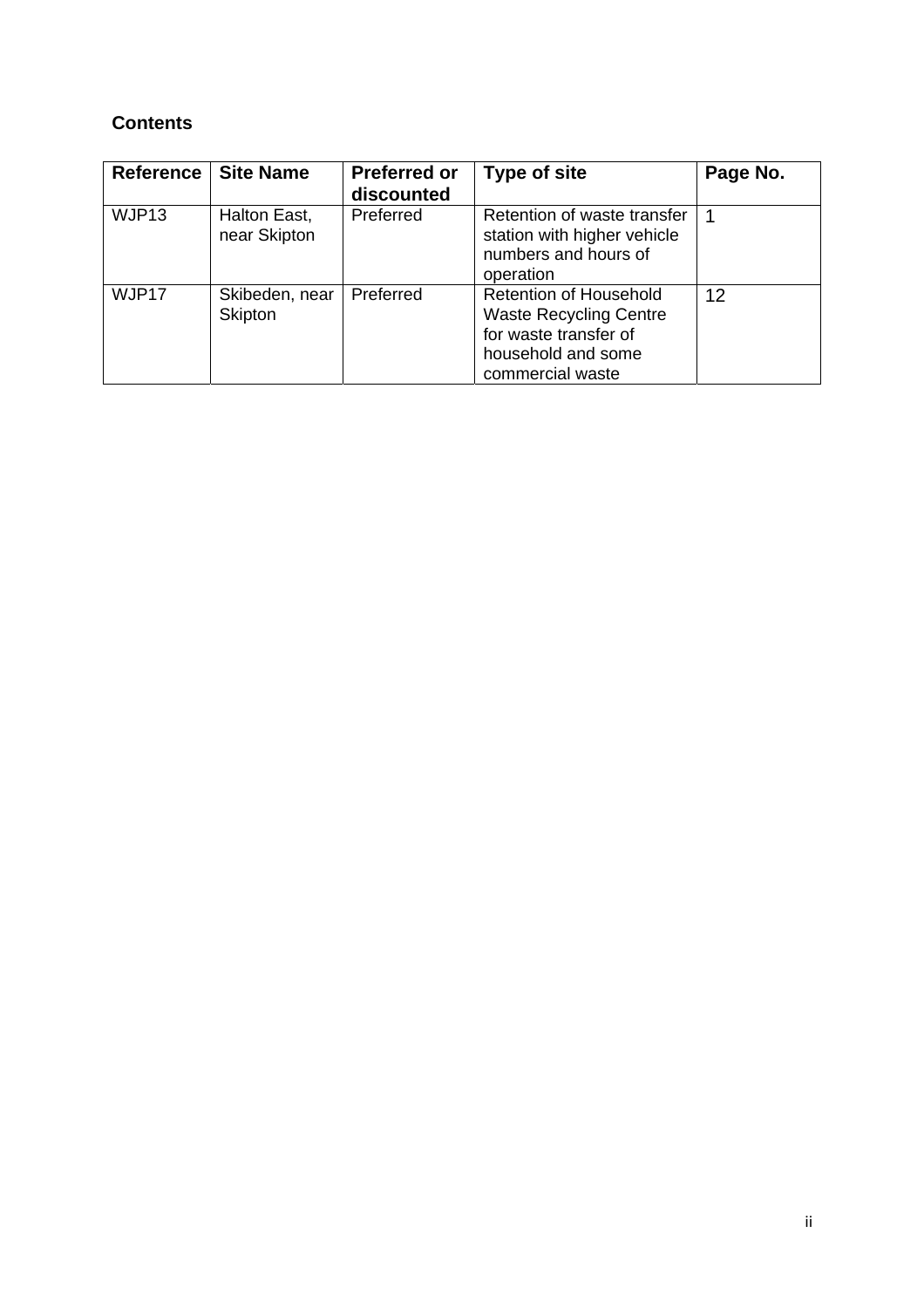# **Contents**

| Reference | <b>Site Name</b>             | <b>Preferred or</b><br>discounted | <b>Type of site</b>                                                                                                               | Page No. |
|-----------|------------------------------|-----------------------------------|-----------------------------------------------------------------------------------------------------------------------------------|----------|
| WJP13     | Halton East,<br>near Skipton | Preferred                         | Retention of waste transfer<br>station with higher vehicle<br>numbers and hours of<br>operation                                   |          |
| WJP17     | Skibeden, near<br>Skipton    | Preferred                         | <b>Retention of Household</b><br><b>Waste Recycling Centre</b><br>for waste transfer of<br>household and some<br>commercial waste | 12       |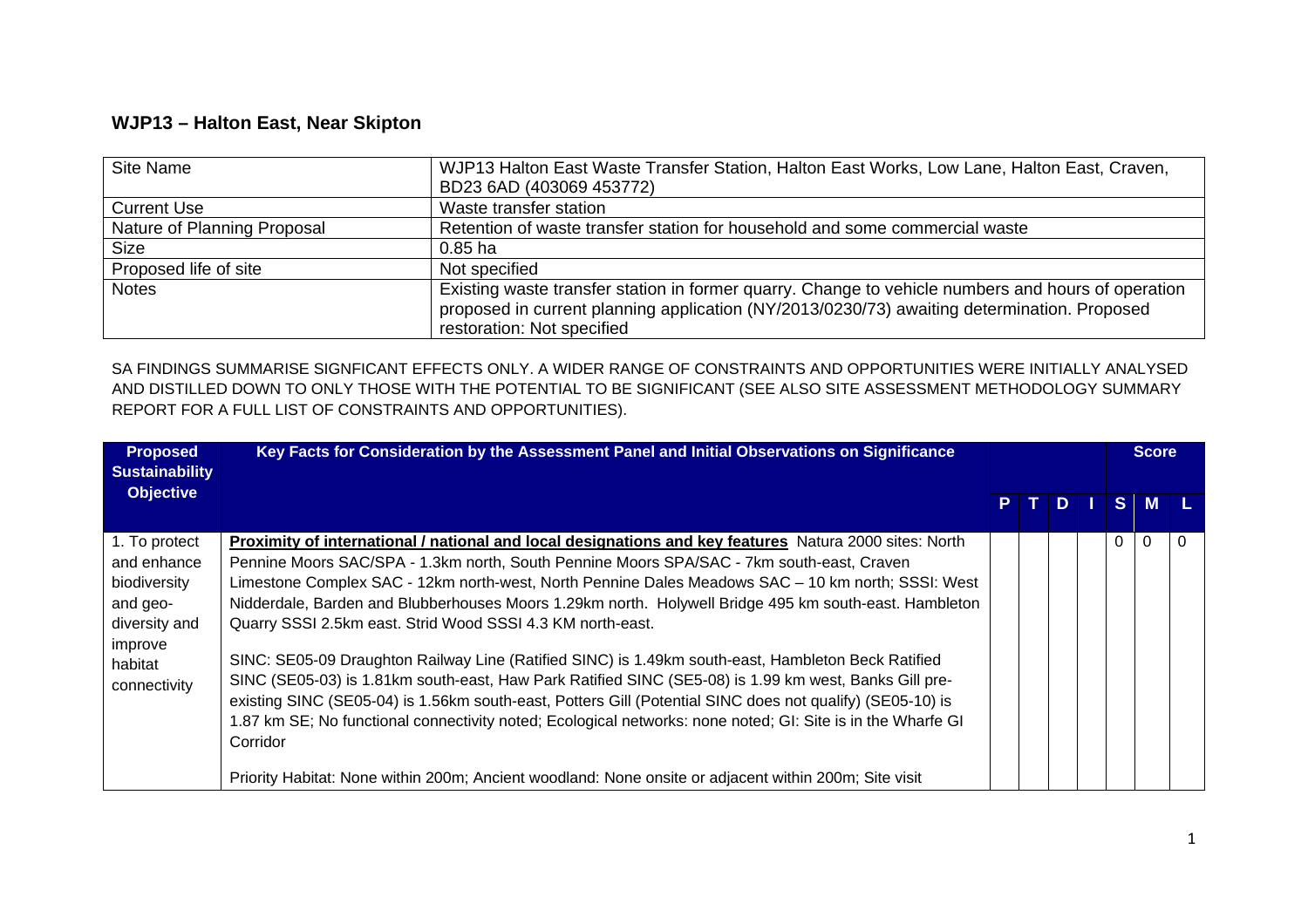## **WJP13 – Halton East, Near Skipton**

| Site Name                   | WJP13 Halton East Waste Transfer Station, Halton East Works, Low Lane, Halton East, Craven,                                                                                                                                     |
|-----------------------------|---------------------------------------------------------------------------------------------------------------------------------------------------------------------------------------------------------------------------------|
|                             | BD23 6AD (403069 453772)                                                                                                                                                                                                        |
| <b>Current Use</b>          | Waste transfer station                                                                                                                                                                                                          |
| Nature of Planning Proposal | Retention of waste transfer station for household and some commercial waste                                                                                                                                                     |
| <b>Size</b>                 | $0.85$ ha                                                                                                                                                                                                                       |
| Proposed life of site       | Not specified                                                                                                                                                                                                                   |
| <b>Notes</b>                | Existing waste transfer station in former quarry. Change to vehicle numbers and hours of operation<br>proposed in current planning application (NY/2013/0230/73) awaiting determination. Proposed<br>restoration: Not specified |

SA FINDINGS SUMMARISE SIGNFICANT EFFECTS ONLY. A WIDER RANGE OF CONSTRAINTS AND OPPORTUNITIES WERE INITIALLY ANALYSED AND DISTILLED DOWN TO ONLY THOSE WITH THE POTENTIAL TO BE SIGNIFICANT (SEE ALSO SITE ASSESSMENT METHODOLOGY SUMMARY REPORT FOR A FULL LIST OF CONSTRAINTS AND OPPORTUNITIES).

| <b>Proposed</b><br><b>Sustainability</b>                                                                        | Key Facts for Consideration by the Assessment Panel and Initial Observations on Significance                                                                                                                                                                                                                                                                                                                                                                                                                                                                                                                                                                                                                                                                                                                                                                                                                                                                                                                                                            |    |  |       |  |          |          |  | <b>Score</b> |  |
|-----------------------------------------------------------------------------------------------------------------|---------------------------------------------------------------------------------------------------------------------------------------------------------------------------------------------------------------------------------------------------------------------------------------------------------------------------------------------------------------------------------------------------------------------------------------------------------------------------------------------------------------------------------------------------------------------------------------------------------------------------------------------------------------------------------------------------------------------------------------------------------------------------------------------------------------------------------------------------------------------------------------------------------------------------------------------------------------------------------------------------------------------------------------------------------|----|--|-------|--|----------|----------|--|--------------|--|
| <b>Objective</b>                                                                                                |                                                                                                                                                                                                                                                                                                                                                                                                                                                                                                                                                                                                                                                                                                                                                                                                                                                                                                                                                                                                                                                         | P. |  | T D . |  |          | $S$ M    |  |              |  |
| 1. To protect<br>and enhance<br>biodiversity<br>and geo-<br>diversity and<br>improve<br>habitat<br>connectivity | <b>Proximity of international / national and local designations and key features</b> Natura 2000 sites: North<br>Pennine Moors SAC/SPA - 1.3km north, South Pennine Moors SPA/SAC - 7km south-east, Craven<br>Limestone Complex SAC - 12km north-west, North Pennine Dales Meadows SAC - 10 km north; SSSI: West<br>Nidderdale, Barden and Blubberhouses Moors 1.29km north. Holywell Bridge 495 km south-east. Hambleton<br>Quarry SSSI 2.5km east. Strid Wood SSSI 4.3 KM north-east.<br>SINC: SE05-09 Draughton Railway Line (Ratified SINC) is 1.49km south-east, Hambleton Beck Ratified<br>SINC (SE05-03) is 1.81km south-east, Haw Park Ratified SINC (SE5-08) is 1.99 km west, Banks Gill pre-<br>existing SINC (SE05-04) is 1.56km south-east, Potters Gill (Potential SINC does not qualify) (SE05-10) is<br>1.87 km SE; No functional connectivity noted; Ecological networks: none noted; GI: Site is in the Wharfe GI<br>Corridor<br>Priority Habitat: None within 200m; Ancient woodland: None onsite or adjacent within 200m; Site visit |    |  |       |  | $\Omega$ | $\Omega$ |  |              |  |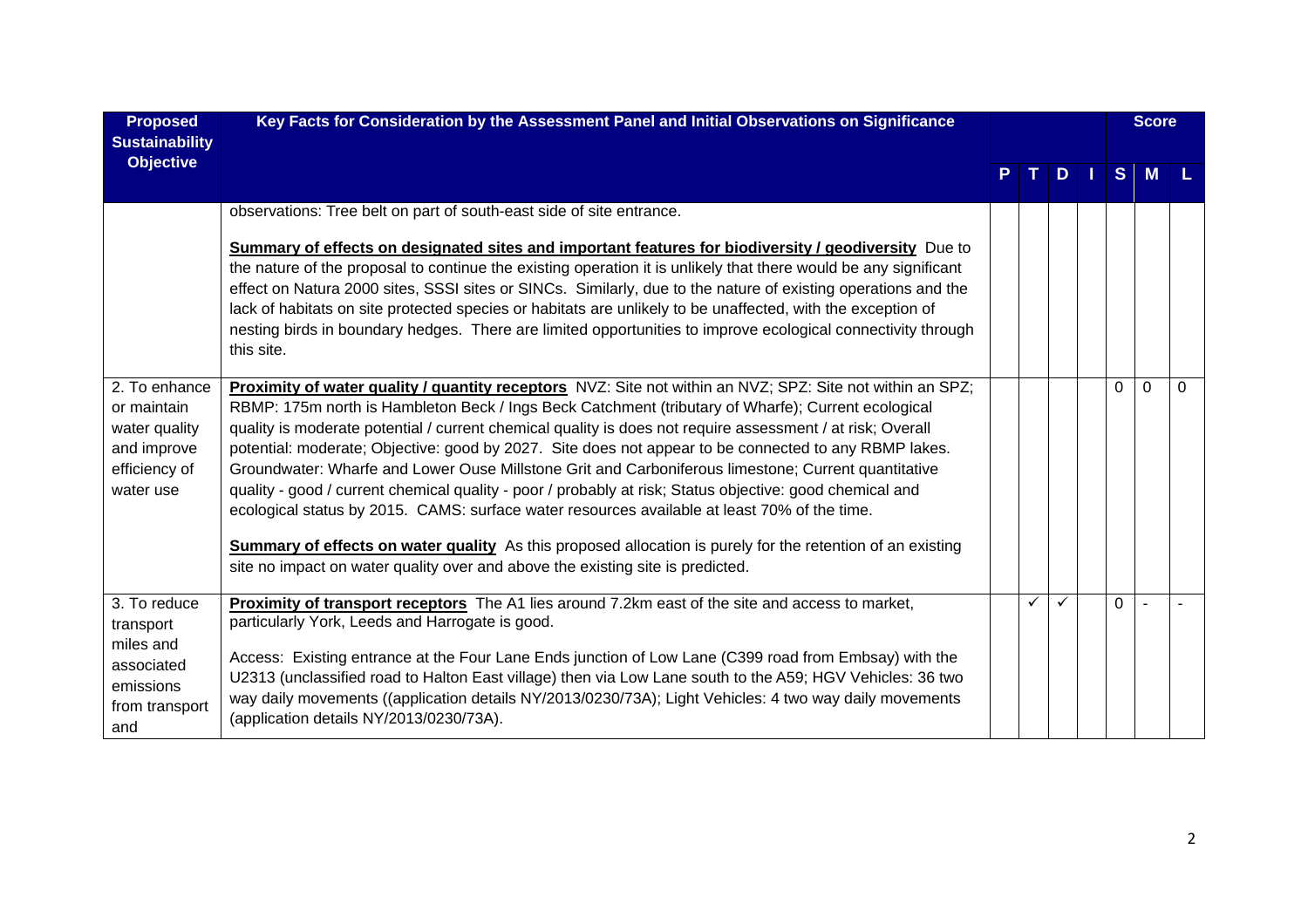| <b>Proposed</b><br><b>Sustainability</b>                                                   | Key Facts for Consideration by the Assessment Panel and Initial Observations on Significance                                                                                                                                                                                                                                                                                                                                                                                                                                                                                                                                                                                                                                                                                                                                                                                                                                                                     |    |    |              |          | <b>Score</b> |          |
|--------------------------------------------------------------------------------------------|------------------------------------------------------------------------------------------------------------------------------------------------------------------------------------------------------------------------------------------------------------------------------------------------------------------------------------------------------------------------------------------------------------------------------------------------------------------------------------------------------------------------------------------------------------------------------------------------------------------------------------------------------------------------------------------------------------------------------------------------------------------------------------------------------------------------------------------------------------------------------------------------------------------------------------------------------------------|----|----|--------------|----------|--------------|----------|
| <b>Objective</b>                                                                           |                                                                                                                                                                                                                                                                                                                                                                                                                                                                                                                                                                                                                                                                                                                                                                                                                                                                                                                                                                  | т. | D. | $\mathbf{L}$ | S        | M            |          |
|                                                                                            | observations: Tree belt on part of south-east side of site entrance.<br>Summary of effects on designated sites and important features for biodiversity / geodiversity Due to<br>the nature of the proposal to continue the existing operation it is unlikely that there would be any significant<br>effect on Natura 2000 sites, SSSI sites or SINCs. Similarly, due to the nature of existing operations and the<br>lack of habitats on site protected species or habitats are unlikely to be unaffected, with the exception of<br>nesting birds in boundary hedges. There are limited opportunities to improve ecological connectivity through<br>this site.                                                                                                                                                                                                                                                                                                   |    |    |              |          |              |          |
| 2. To enhance<br>or maintain<br>water quality<br>and improve<br>efficiency of<br>water use | Proximity of water quality / quantity receptors NVZ: Site not within an NVZ; SPZ: Site not within an SPZ;<br>RBMP: 175m north is Hambleton Beck / Ings Beck Catchment (tributary of Wharfe); Current ecological<br>quality is moderate potential / current chemical quality is does not require assessment / at risk; Overall<br>potential: moderate; Objective: good by 2027. Site does not appear to be connected to any RBMP lakes.<br>Groundwater: Wharfe and Lower Ouse Millstone Grit and Carboniferous limestone; Current quantitative<br>quality - good / current chemical quality - poor / probably at risk; Status objective: good chemical and<br>ecological status by 2015. CAMS: surface water resources available at least 70% of the time.<br><b>Summary of effects on water quality</b> As this proposed allocation is purely for the retention of an existing<br>site no impact on water quality over and above the existing site is predicted. |    |    |              | $\Omega$ | $\Omega$     | $\Omega$ |
| 3. To reduce<br>transport<br>miles and<br>associated<br>emissions<br>from transport<br>and | Proximity of transport receptors The A1 lies around 7.2km east of the site and access to market,<br>particularly York, Leeds and Harrogate is good.<br>Access: Existing entrance at the Four Lane Ends junction of Low Lane (C399 road from Embsay) with the<br>U2313 (unclassified road to Halton East village) then via Low Lane south to the A59; HGV Vehicles: 36 two<br>way daily movements ((application details NY/2013/0230/73A); Light Vehicles: 4 two way daily movements<br>(application details NY/2013/0230/73A).                                                                                                                                                                                                                                                                                                                                                                                                                                   | ✓  |    |              | $\Omega$ |              |          |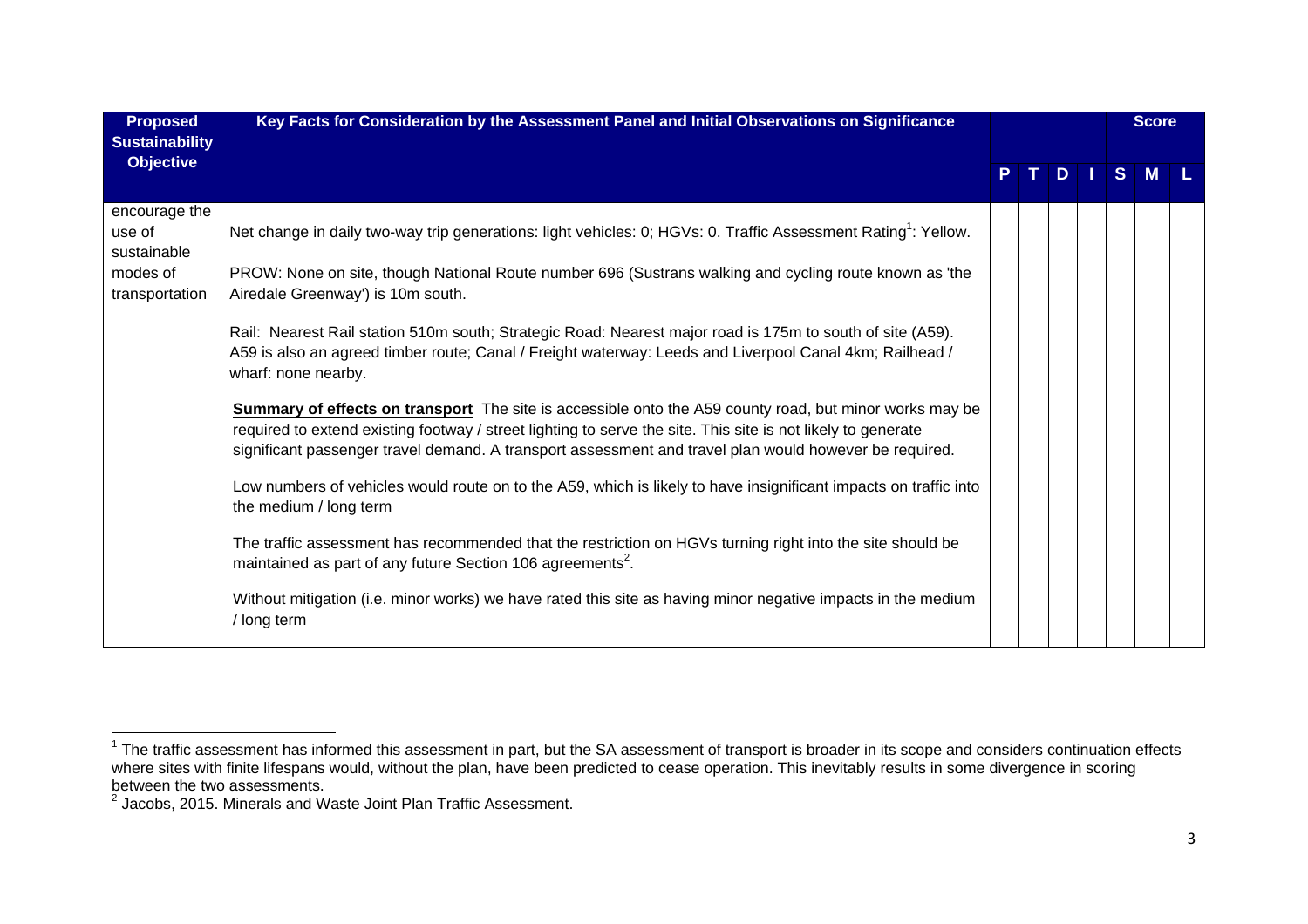| <b>Proposed</b><br><b>Sustainability</b> | Key Facts for Consideration by the Assessment Panel and Initial Observations on Significance                                                                                                                                                                                                                                             |  |  |  |  |        | <b>Score</b> |  |
|------------------------------------------|------------------------------------------------------------------------------------------------------------------------------------------------------------------------------------------------------------------------------------------------------------------------------------------------------------------------------------------|--|--|--|--|--------|--------------|--|
| <b>Objective</b>                         |                                                                                                                                                                                                                                                                                                                                          |  |  |  |  | PTDISM |              |  |
| encourage the<br>use of<br>sustainable   | Net change in daily two-way trip generations: light vehicles: 0; HGVs: 0. Traffic Assessment Rating <sup>1</sup> : Yellow.                                                                                                                                                                                                               |  |  |  |  |        |              |  |
| modes of<br>transportation               | PROW: None on site, though National Route number 696 (Sustrans walking and cycling route known as 'the<br>Airedale Greenway') is 10m south.                                                                                                                                                                                              |  |  |  |  |        |              |  |
|                                          | Rail: Nearest Rail station 510m south; Strategic Road: Nearest major road is 175m to south of site (A59).<br>A59 is also an agreed timber route; Canal / Freight waterway: Leeds and Liverpool Canal 4km; Railhead /<br>wharf: none nearby.                                                                                              |  |  |  |  |        |              |  |
|                                          | <b>Summary of effects on transport</b> The site is accessible onto the A59 county road, but minor works may be<br>required to extend existing footway / street lighting to serve the site. This site is not likely to generate<br>significant passenger travel demand. A transport assessment and travel plan would however be required. |  |  |  |  |        |              |  |
|                                          | Low numbers of vehicles would route on to the A59, which is likely to have insignificant impacts on traffic into<br>the medium / long term                                                                                                                                                                                               |  |  |  |  |        |              |  |
|                                          | The traffic assessment has recommended that the restriction on HGVs turning right into the site should be<br>maintained as part of any future Section 106 agreements <sup>2</sup> .                                                                                                                                                      |  |  |  |  |        |              |  |
|                                          | Without mitigation (i.e. minor works) we have rated this site as having minor negative impacts in the medium<br>/ long term                                                                                                                                                                                                              |  |  |  |  |        |              |  |

 $1$  The traffic assessment has informed this assessment in part, but the SA assessment of transport is broader in its scope and considers continuation effects where sites with finite lifespans would, without the plan, have been predicted to cease operation. This inevitably results in some divergence in scoring between the two assessments.

<sup>2</sup> Jacobs, 2015. Minerals and Waste Joint Plan Traffic Assessment.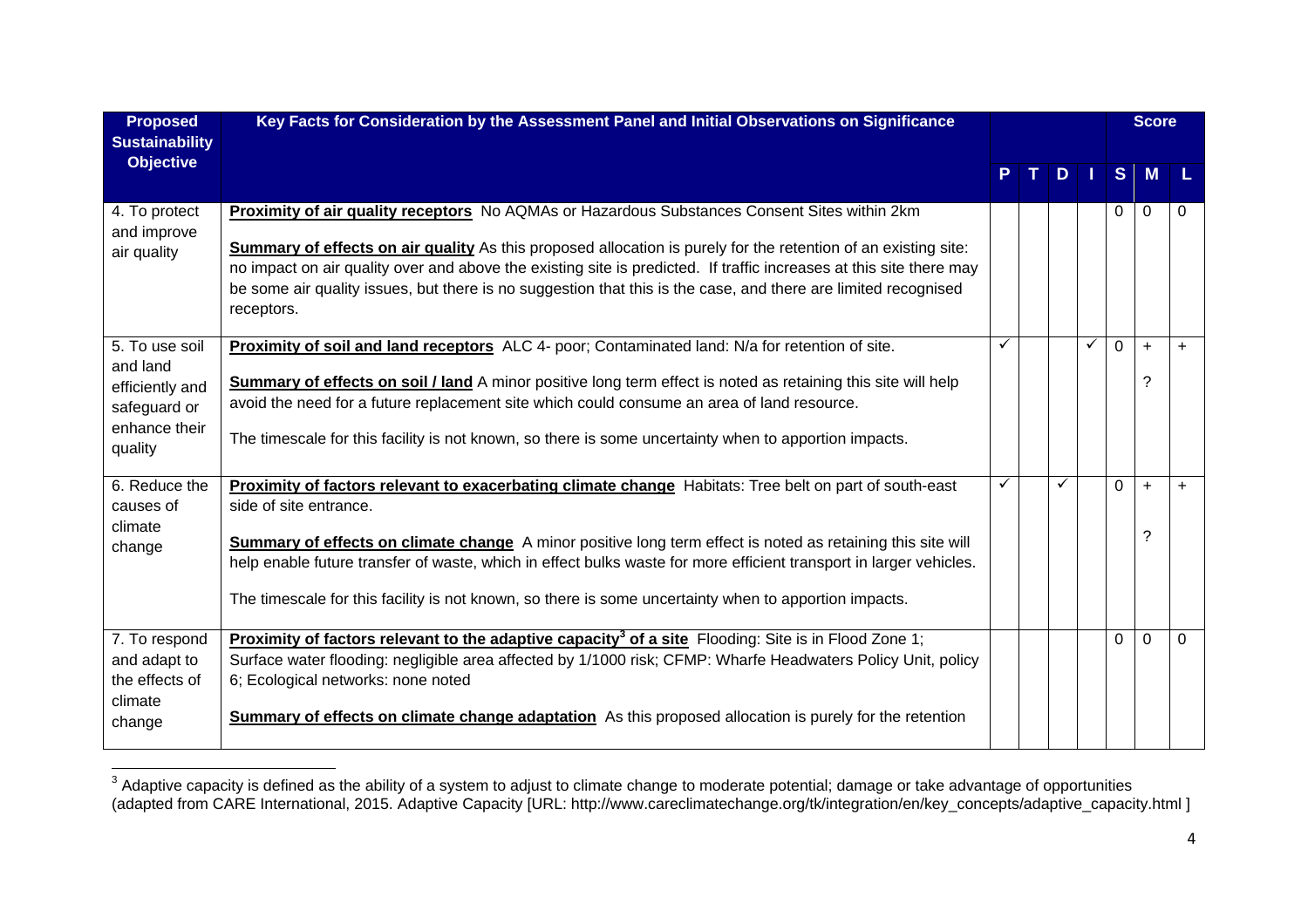| <b>Proposed</b><br><b>Sustainability</b>                                                  | Key Facts for Consideration by the Assessment Panel and Initial Observations on Significance                                                                                                                                                                                                                                                                                                                                                                                          |   |              |   |              |                | <b>Score</b>   |           |
|-------------------------------------------------------------------------------------------|---------------------------------------------------------------------------------------------------------------------------------------------------------------------------------------------------------------------------------------------------------------------------------------------------------------------------------------------------------------------------------------------------------------------------------------------------------------------------------------|---|--------------|---|--------------|----------------|----------------|-----------|
| <b>Objective</b>                                                                          |                                                                                                                                                                                                                                                                                                                                                                                                                                                                                       |   | $\mathbf{T}$ |   | $D$          |                | $S$ M          |           |
| 4. To protect<br>and improve<br>air quality                                               | <b>Proximity of air quality receptors</b> No AQMAs or Hazardous Substances Consent Sites within 2km<br><b>Summary of effects on air quality</b> As this proposed allocation is purely for the retention of an existing site:<br>no impact on air quality over and above the existing site is predicted. If traffic increases at this site there may<br>be some air quality issues, but there is no suggestion that this is the case, and there are limited recognised<br>receptors.   |   |              |   |              | 0              | $\Omega$       | 0         |
| 5. To use soil<br>and land<br>efficiently and<br>safeguard or<br>enhance their<br>quality | Proximity of soil and land receptors ALC 4- poor; Contaminated land: N/a for retention of site.<br>Summary of effects on soil / land A minor positive long term effect is noted as retaining this site will help<br>avoid the need for a future replacement site which could consume an area of land resource.<br>The timescale for this facility is not known, so there is some uncertainty when to apportion impacts.                                                               | ✓ |              |   | $\checkmark$ | $\overline{0}$ | $\ddot{}$<br>? | $\ddot{}$ |
| 6. Reduce the<br>causes of<br>climate<br>change                                           | <b>Proximity of factors relevant to exacerbating climate change</b> Habitats: Tree belt on part of south-east<br>side of site entrance.<br>Summary of effects on climate change A minor positive long term effect is noted as retaining this site will<br>help enable future transfer of waste, which in effect bulks waste for more efficient transport in larger vehicles.<br>The timescale for this facility is not known, so there is some uncertainty when to apportion impacts. | ✓ |              | ✓ |              | $\Omega$       | $\ddot{}$<br>? | $+$       |
| 7. To respond<br>and adapt to<br>the effects of<br>climate<br>change                      | <b>Proximity of factors relevant to the adaptive capacity<sup>3</sup> of a site Flooding: Site is in Flood Zone 1;</b><br>Surface water flooding: negligible area affected by 1/1000 risk; CFMP: Wharfe Headwaters Policy Unit, policy<br>6; Ecological networks: none noted<br><b>Summary of effects on climate change adaptation</b> As this proposed allocation is purely for the retention                                                                                        |   |              |   |              | $\Omega$       | $\Omega$       | $\Omega$  |

 $^3$  Adaptive capacity is defined as the ability of a system to adjust to climate change to moderate potential; damage or take advantage of opportunities (adapted from CARE International, 2015. Adaptive Capacity [URL: http://www.careclimatechange.org/tk/integration/en/key\_concepts/adaptive\_capacity.html ]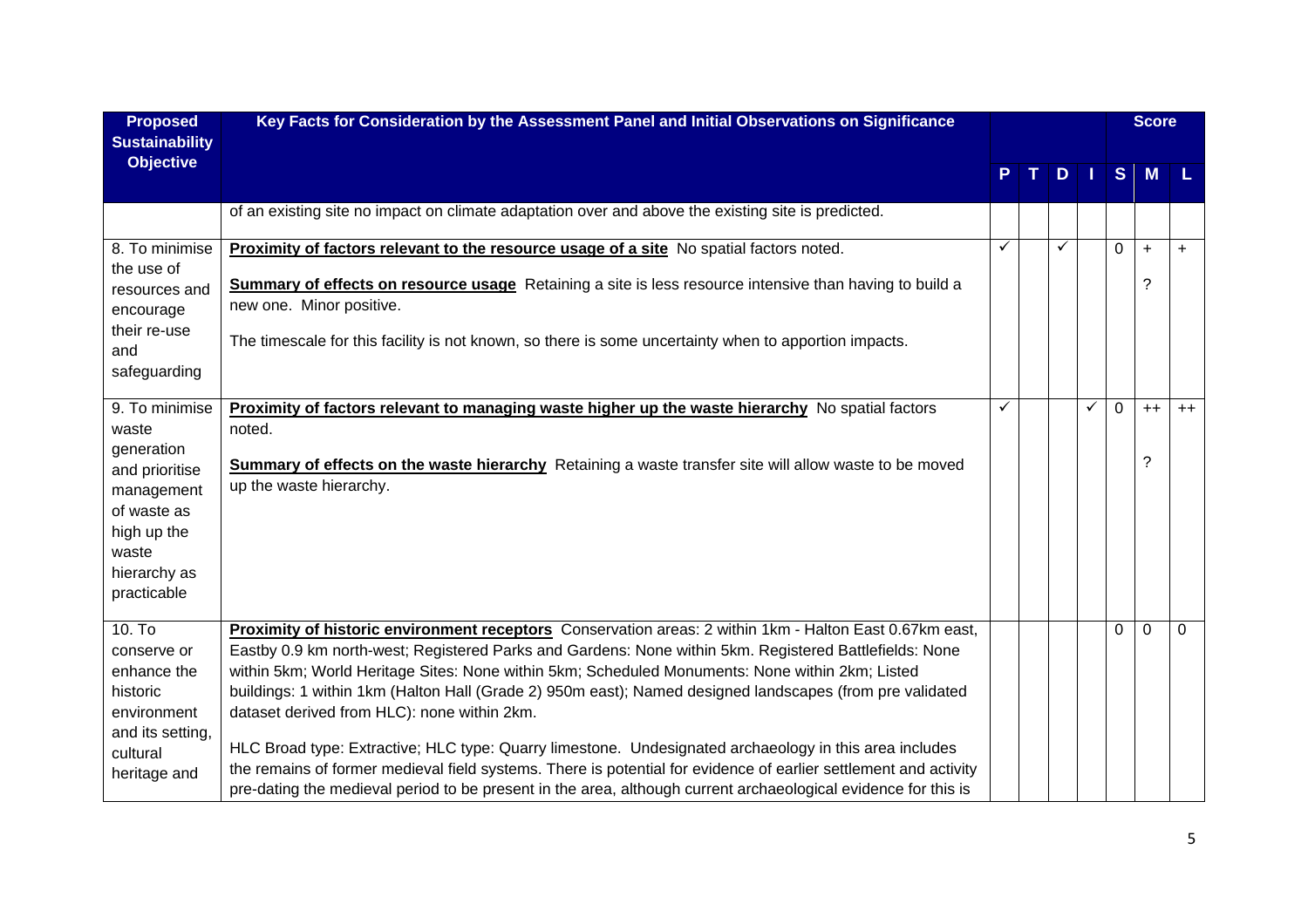| <b>Proposed</b><br><b>Sustainability</b> | Key Facts for Consideration by the Assessment Panel and Initial Observations on Significance                                             |   |   |   |              | <b>Score</b> |          |
|------------------------------------------|------------------------------------------------------------------------------------------------------------------------------------------|---|---|---|--------------|--------------|----------|
| <b>Objective</b>                         |                                                                                                                                          |   | D |   |              | S M          | - L.     |
|                                          | of an existing site no impact on climate adaptation over and above the existing site is predicted.                                       |   |   |   |              |              |          |
| 8. To minimise                           | Proximity of factors relevant to the resource usage of a site No spatial factors noted.                                                  | ✓ |   |   | $\Omega$     | $\ddot{}$    | $+$      |
| the use of                               |                                                                                                                                          |   |   |   |              | ?            |          |
| resources and                            | Summary of effects on resource usage Retaining a site is less resource intensive than having to build a<br>new one. Minor positive.      |   |   |   |              |              |          |
| encourage                                |                                                                                                                                          |   |   |   |              |              |          |
| their re-use<br>and                      | The timescale for this facility is not known, so there is some uncertainty when to apportion impacts.                                    |   |   |   |              |              |          |
| safeguarding                             |                                                                                                                                          |   |   |   |              |              |          |
|                                          |                                                                                                                                          |   |   |   |              |              |          |
| 9. To minimise                           | Proximity of factors relevant to managing waste higher up the waste hierarchy No spatial factors                                         | ✓ |   | ✓ | $\mathbf 0$  | $++$         | $++$     |
| waste                                    | noted.                                                                                                                                   |   |   |   |              |              |          |
| generation                               |                                                                                                                                          |   |   |   |              | ?            |          |
| and prioritise                           | <b>Summary of effects on the waste hierarchy</b> Retaining a waste transfer site will allow waste to be moved<br>up the waste hierarchy. |   |   |   |              |              |          |
| management                               |                                                                                                                                          |   |   |   |              |              |          |
| of waste as                              |                                                                                                                                          |   |   |   |              |              |          |
| high up the                              |                                                                                                                                          |   |   |   |              |              |          |
| waste<br>hierarchy as                    |                                                                                                                                          |   |   |   |              |              |          |
| practicable                              |                                                                                                                                          |   |   |   |              |              |          |
|                                          |                                                                                                                                          |   |   |   |              |              |          |
| $10.$ To                                 | Proximity of historic environment receptors Conservation areas: 2 within 1km - Halton East 0.67km east,                                  |   |   |   | $\mathbf{0}$ | $\mathbf 0$  | $\Omega$ |
| conserve or                              | Eastby 0.9 km north-west; Registered Parks and Gardens: None within 5km. Registered Battlefields: None                                   |   |   |   |              |              |          |
| enhance the                              | within 5km; World Heritage Sites: None within 5km; Scheduled Monuments: None within 2km; Listed                                          |   |   |   |              |              |          |
| historic                                 | buildings: 1 within 1km (Halton Hall (Grade 2) 950m east); Named designed landscapes (from pre validated                                 |   |   |   |              |              |          |
| environment                              | dataset derived from HLC): none within 2km.                                                                                              |   |   |   |              |              |          |
| and its setting,                         | HLC Broad type: Extractive; HLC type: Quarry limestone. Undesignated archaeology in this area includes                                   |   |   |   |              |              |          |
| cultural                                 | the remains of former medieval field systems. There is potential for evidence of earlier settlement and activity                         |   |   |   |              |              |          |
| heritage and                             | pre-dating the medieval period to be present in the area, although current archaeological evidence for this is                           |   |   |   |              |              |          |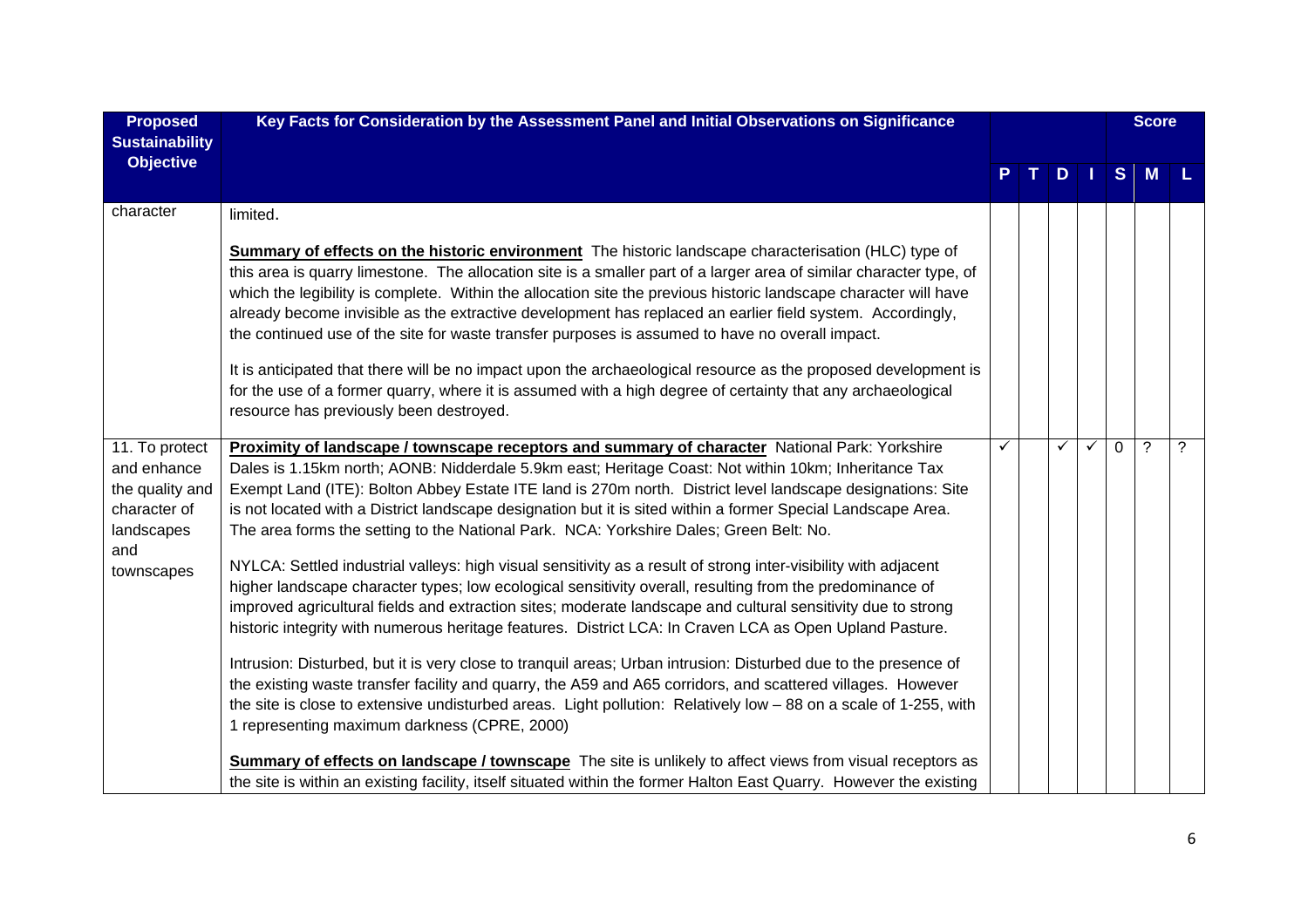| <b>Proposed</b><br><b>Sustainability</b>                                                            | Key Facts for Consideration by the Assessment Panel and Initial Observations on Significance                                                                                                                                                                                                                                                                                                                                                                                                                                                                                                                                                                                                                                                                                                                                                                                                                                                                                                                                                                                                                                                                                                                                                                                                                                                                                                                                              |   |   |              |          | <b>Score</b>       |   |
|-----------------------------------------------------------------------------------------------------|-------------------------------------------------------------------------------------------------------------------------------------------------------------------------------------------------------------------------------------------------------------------------------------------------------------------------------------------------------------------------------------------------------------------------------------------------------------------------------------------------------------------------------------------------------------------------------------------------------------------------------------------------------------------------------------------------------------------------------------------------------------------------------------------------------------------------------------------------------------------------------------------------------------------------------------------------------------------------------------------------------------------------------------------------------------------------------------------------------------------------------------------------------------------------------------------------------------------------------------------------------------------------------------------------------------------------------------------------------------------------------------------------------------------------------------------|---|---|--------------|----------|--------------------|---|
| <b>Objective</b>                                                                                    |                                                                                                                                                                                                                                                                                                                                                                                                                                                                                                                                                                                                                                                                                                                                                                                                                                                                                                                                                                                                                                                                                                                                                                                                                                                                                                                                                                                                                                           |   | D |              |          | S M                |   |
| character                                                                                           | limited.<br><b>Summary of effects on the historic environment</b> The historic landscape characterisation (HLC) type of<br>this area is quarry limestone. The allocation site is a smaller part of a larger area of similar character type, of<br>which the legibility is complete. Within the allocation site the previous historic landscape character will have<br>already become invisible as the extractive development has replaced an earlier field system. Accordingly,<br>the continued use of the site for waste transfer purposes is assumed to have no overall impact.<br>It is anticipated that there will be no impact upon the archaeological resource as the proposed development is<br>for the use of a former quarry, where it is assumed with a high degree of certainty that any archaeological                                                                                                                                                                                                                                                                                                                                                                                                                                                                                                                                                                                                                       |   |   |              |          |                    |   |
| 11. To protect<br>and enhance<br>the quality and<br>character of<br>landscapes<br>and<br>townscapes | resource has previously been destroyed.<br>Proximity of landscape / townscape receptors and summary of character National Park: Yorkshire<br>Dales is 1.15km north; AONB: Nidderdale 5.9km east; Heritage Coast: Not within 10km; Inheritance Tax<br>Exempt Land (ITE): Bolton Abbey Estate ITE land is 270m north. District level landscape designations: Site<br>is not located with a District landscape designation but it is sited within a former Special Landscape Area.<br>The area forms the setting to the National Park. NCA: Yorkshire Dales; Green Belt: No.<br>NYLCA: Settled industrial valleys: high visual sensitivity as a result of strong inter-visibility with adjacent<br>higher landscape character types; low ecological sensitivity overall, resulting from the predominance of<br>improved agricultural fields and extraction sites; moderate landscape and cultural sensitivity due to strong<br>historic integrity with numerous heritage features. District LCA: In Craven LCA as Open Upland Pasture.<br>Intrusion: Disturbed, but it is very close to tranquil areas; Urban intrusion: Disturbed due to the presence of<br>the existing waste transfer facility and quarry, the A59 and A65 corridors, and scattered villages. However<br>the site is close to extensive undisturbed areas. Light pollution: Relatively low - 88 on a scale of 1-255, with<br>1 representing maximum darkness (CPRE, 2000) | ✓ | ✓ | $\checkmark$ | $\Omega$ | $\overline{\cdot}$ | ? |
|                                                                                                     | <b>Summary of effects on landscape / townscape</b> The site is unlikely to affect views from visual receptors as<br>the site is within an existing facility, itself situated within the former Halton East Quarry. However the existing                                                                                                                                                                                                                                                                                                                                                                                                                                                                                                                                                                                                                                                                                                                                                                                                                                                                                                                                                                                                                                                                                                                                                                                                   |   |   |              |          |                    |   |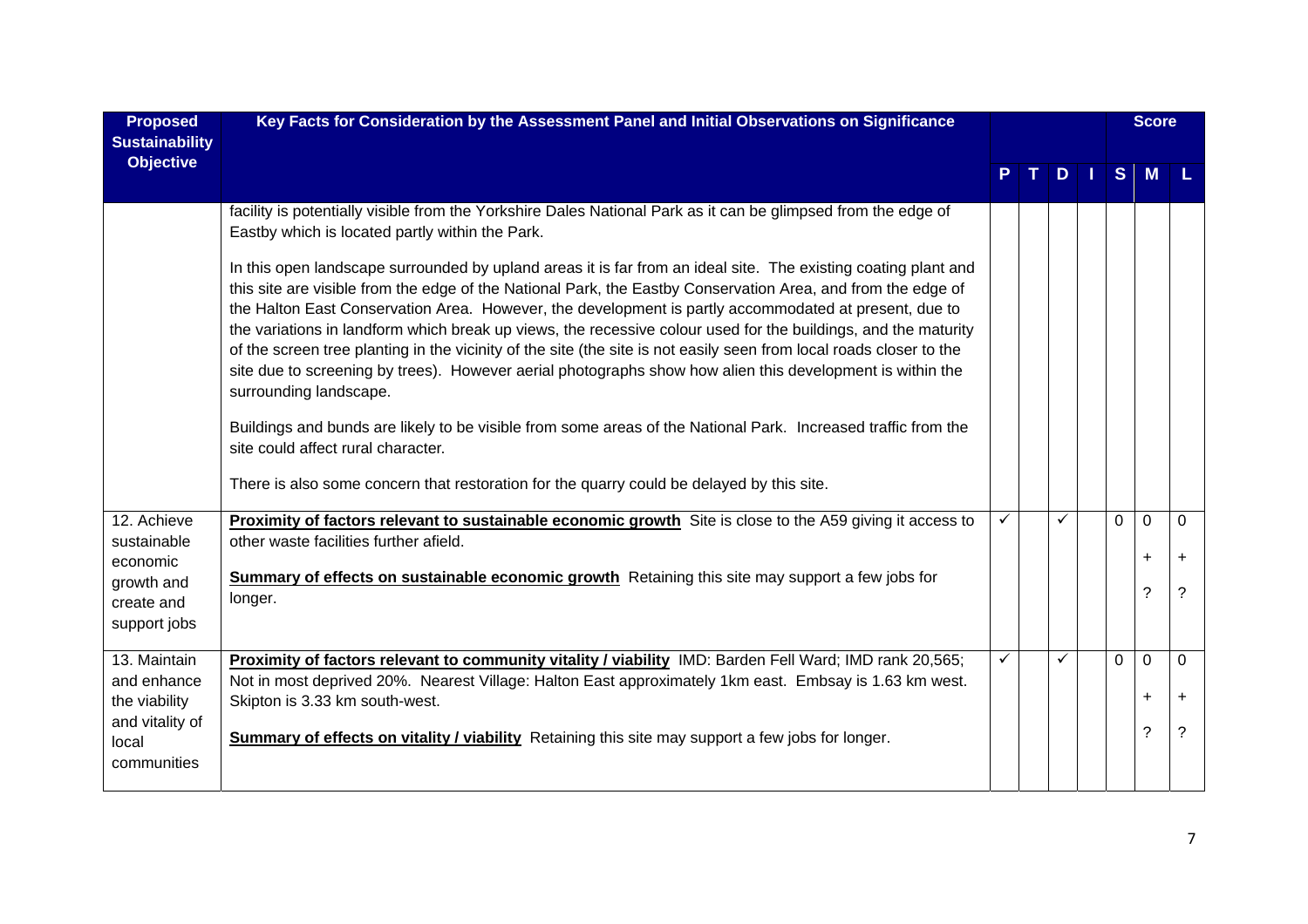| <b>Proposed</b><br><b>Sustainability</b>             | Key Facts for Consideration by the Assessment Panel and Initial Observations on Significance                                                                                                                                                                                                                                                                                                                                                                                                                                                                                                                                                                                                                            |              |              |          | <b>Score</b>   |                       |
|------------------------------------------------------|-------------------------------------------------------------------------------------------------------------------------------------------------------------------------------------------------------------------------------------------------------------------------------------------------------------------------------------------------------------------------------------------------------------------------------------------------------------------------------------------------------------------------------------------------------------------------------------------------------------------------------------------------------------------------------------------------------------------------|--------------|--------------|----------|----------------|-----------------------|
| <b>Objective</b>                                     |                                                                                                                                                                                                                                                                                                                                                                                                                                                                                                                                                                                                                                                                                                                         |              | D            | S        | M              |                       |
|                                                      | facility is potentially visible from the Yorkshire Dales National Park as it can be glimpsed from the edge of<br>Eastby which is located partly within the Park.                                                                                                                                                                                                                                                                                                                                                                                                                                                                                                                                                        |              |              |          |                |                       |
|                                                      | In this open landscape surrounded by upland areas it is far from an ideal site. The existing coating plant and<br>this site are visible from the edge of the National Park, the Eastby Conservation Area, and from the edge of<br>the Halton East Conservation Area. However, the development is partly accommodated at present, due to<br>the variations in landform which break up views, the recessive colour used for the buildings, and the maturity<br>of the screen tree planting in the vicinity of the site (the site is not easily seen from local roads closer to the<br>site due to screening by trees). However aerial photographs show how alien this development is within the<br>surrounding landscape. |              |              |          |                |                       |
|                                                      | Buildings and bunds are likely to be visible from some areas of the National Park. Increased traffic from the<br>site could affect rural character.                                                                                                                                                                                                                                                                                                                                                                                                                                                                                                                                                                     |              |              |          |                |                       |
|                                                      | There is also some concern that restoration for the quarry could be delayed by this site.                                                                                                                                                                                                                                                                                                                                                                                                                                                                                                                                                                                                                               |              |              |          |                |                       |
| 12. Achieve<br>sustainable                           | Proximity of factors relevant to sustainable economic growth Site is close to the A59 giving it access to<br>other waste facilities further afield.                                                                                                                                                                                                                                                                                                                                                                                                                                                                                                                                                                     | ✓            | ✓            | $\Omega$ | $\mathbf 0$    | $\Omega$<br>$\ddot{}$ |
| economic<br>growth and<br>create and<br>support jobs | Summary of effects on sustainable economic growth Retaining this site may support a few jobs for<br>longer.                                                                                                                                                                                                                                                                                                                                                                                                                                                                                                                                                                                                             |              |              |          | $\ddot{}$<br>? | ?                     |
| 13. Maintain<br>and enhance                          | Proximity of factors relevant to community vitality / viability IMD: Barden Fell Ward; IMD rank 20,565;<br>Not in most deprived 20%. Nearest Village: Halton East approximately 1km east. Embsay is 1.63 km west.                                                                                                                                                                                                                                                                                                                                                                                                                                                                                                       | $\checkmark$ | $\checkmark$ | $\Omega$ | $\overline{0}$ | $\Omega$              |
| the viability                                        | Skipton is 3.33 km south-west.                                                                                                                                                                                                                                                                                                                                                                                                                                                                                                                                                                                                                                                                                          |              |              |          | $\ddot{}$      | $\ddot{}$             |
| and vitality of<br>local<br>communities              | Summary of effects on vitality / viability Retaining this site may support a few jobs for longer.                                                                                                                                                                                                                                                                                                                                                                                                                                                                                                                                                                                                                       |              |              |          | ?              | ?                     |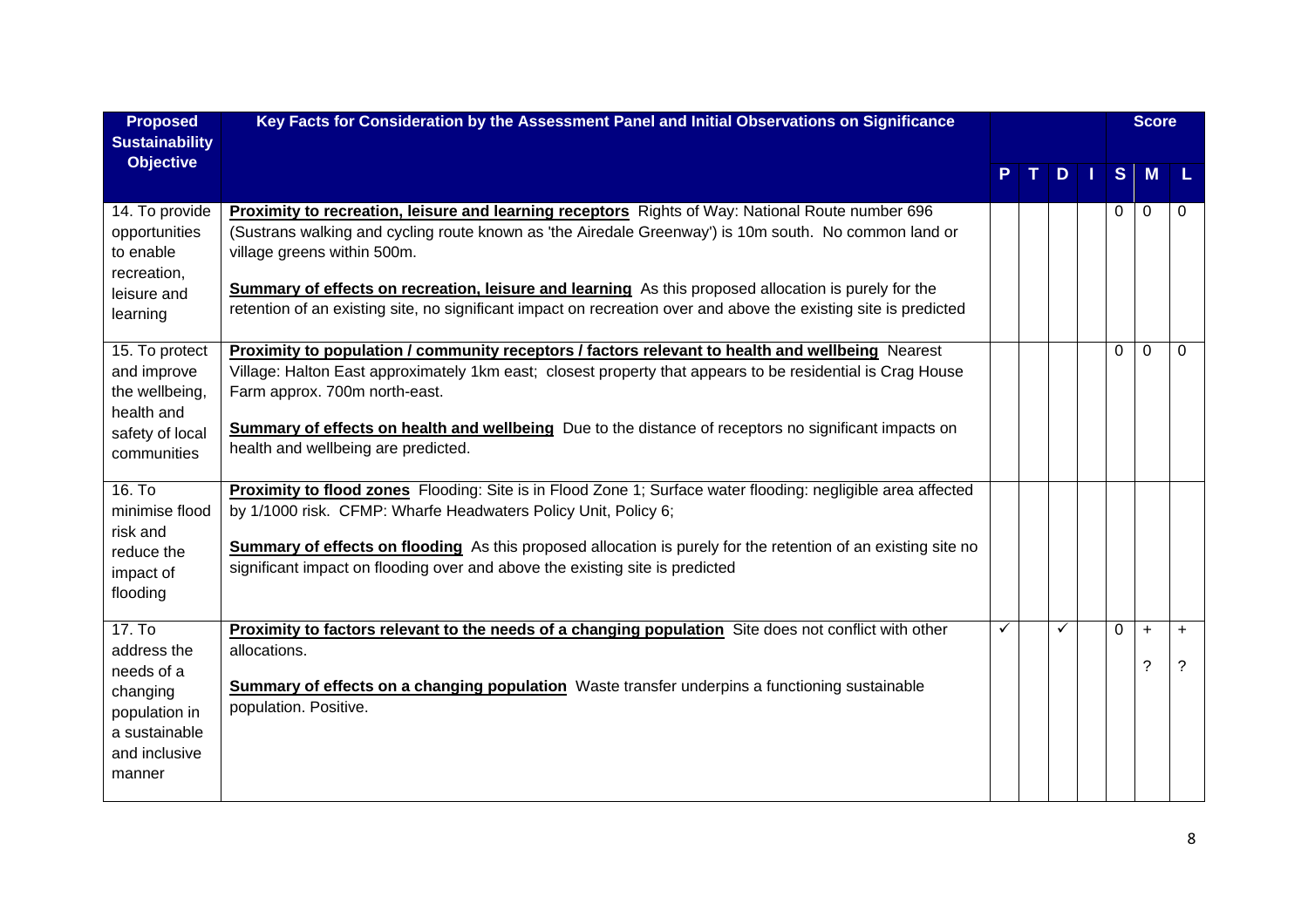| <b>Proposed</b><br><b>Sustainability</b>                                                                     | Key Facts for Consideration by the Assessment Panel and Initial Observations on Significance                                                                                                                                                                                                                                                                                                                                                                                |   |   |            |                | <b>Score</b>   |                |
|--------------------------------------------------------------------------------------------------------------|-----------------------------------------------------------------------------------------------------------------------------------------------------------------------------------------------------------------------------------------------------------------------------------------------------------------------------------------------------------------------------------------------------------------------------------------------------------------------------|---|---|------------|----------------|----------------|----------------|
| <b>Objective</b>                                                                                             |                                                                                                                                                                                                                                                                                                                                                                                                                                                                             |   |   | $T$ D $  $ | S M            |                | L              |
| 14. To provide<br>opportunities<br>to enable<br>recreation,<br>leisure and<br>learning                       | Proximity to recreation, leisure and learning receptors Rights of Way: National Route number 696<br>(Sustrans walking and cycling route known as 'the Airedale Greenway') is 10m south. No common land or<br>village greens within 500m.<br><b>Summary of effects on recreation, leisure and learning</b> As this proposed allocation is purely for the<br>retention of an existing site, no significant impact on recreation over and above the existing site is predicted |   |   |            | $\Omega$       | $\Omega$       | 0              |
| 15. To protect<br>and improve<br>the wellbeing,<br>health and<br>safety of local<br>communities              | Proximity to population / community receptors / factors relevant to health and wellbeing Nearest<br>Village: Halton East approximately 1km east; closest property that appears to be residential is Crag House<br>Farm approx. 700m north-east.<br><b>Summary of effects on health and wellbeing</b> Due to the distance of receptors no significant impacts on<br>health and wellbeing are predicted.                                                                      |   |   |            | $\Omega$       | $\mathbf 0$    | $\Omega$       |
| 16. To<br>minimise flood<br>risk and<br>reduce the<br>impact of<br>flooding                                  | Proximity to flood zones Flooding: Site is in Flood Zone 1; Surface water flooding: negligible area affected<br>by 1/1000 risk. CFMP: Wharfe Headwaters Policy Unit, Policy 6;<br><b>Summary of effects on flooding</b> As this proposed allocation is purely for the retention of an existing site no<br>significant impact on flooding over and above the existing site is predicted                                                                                      |   |   |            |                |                |                |
| 17. To<br>address the<br>needs of a<br>changing<br>population in<br>a sustainable<br>and inclusive<br>manner | Proximity to factors relevant to the needs of a changing population Site does not conflict with other<br>allocations.<br><b>Summary of effects on a changing population</b> Waste transfer underpins a functioning sustainable<br>population. Positive.                                                                                                                                                                                                                     | ✓ | ✓ |            | $\overline{0}$ | $\ddot{}$<br>? | $\ddot{}$<br>? |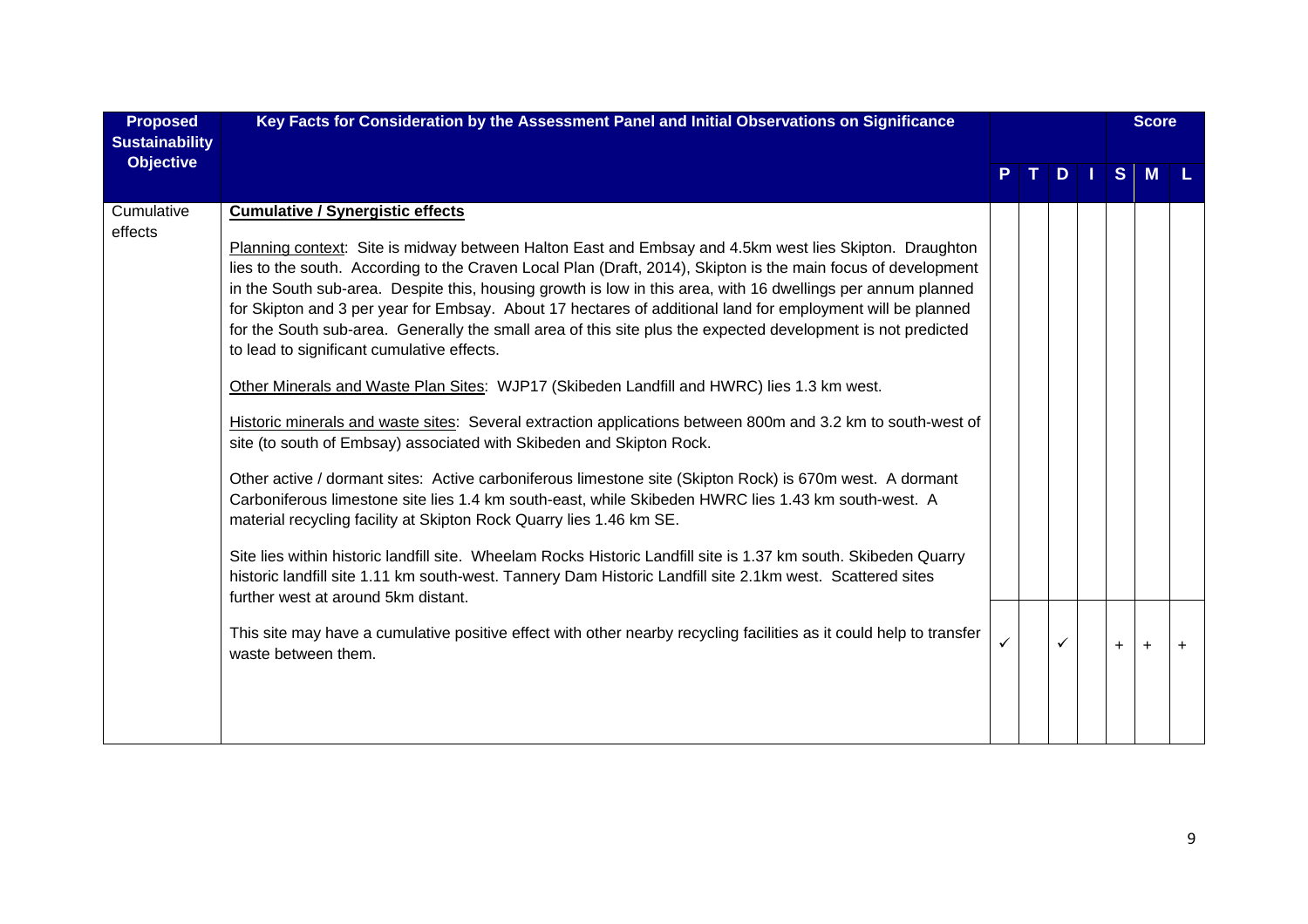| <b>Proposed</b><br><b>Sustainability</b> | Key Facts for Consideration by the Assessment Panel and Initial Observations on Significance                                                                                                                                                                                                                                                                                                                                                                                                                                                                                                                                                                                                                                                                                                                                                                                                                                                                                                                                                                                                                                                                                                                                                                                                                                                                                                                                                                                                                        |              |              |              |            |               | <b>Score</b> |           |
|------------------------------------------|---------------------------------------------------------------------------------------------------------------------------------------------------------------------------------------------------------------------------------------------------------------------------------------------------------------------------------------------------------------------------------------------------------------------------------------------------------------------------------------------------------------------------------------------------------------------------------------------------------------------------------------------------------------------------------------------------------------------------------------------------------------------------------------------------------------------------------------------------------------------------------------------------------------------------------------------------------------------------------------------------------------------------------------------------------------------------------------------------------------------------------------------------------------------------------------------------------------------------------------------------------------------------------------------------------------------------------------------------------------------------------------------------------------------------------------------------------------------------------------------------------------------|--------------|--------------|--------------|------------|---------------|--------------|-----------|
| <b>Objective</b>                         |                                                                                                                                                                                                                                                                                                                                                                                                                                                                                                                                                                                                                                                                                                                                                                                                                                                                                                                                                                                                                                                                                                                                                                                                                                                                                                                                                                                                                                                                                                                     |              | $\mathbf{T}$ |              | <b>DII</b> | $S^{\dagger}$ | M            |           |
| Cumulative<br>effects                    | <b>Cumulative / Synergistic effects</b><br>Planning context: Site is midway between Halton East and Embsay and 4.5km west lies Skipton. Draughton<br>lies to the south. According to the Craven Local Plan (Draft, 2014), Skipton is the main focus of development<br>in the South sub-area. Despite this, housing growth is low in this area, with 16 dwellings per annum planned<br>for Skipton and 3 per year for Embsay. About 17 hectares of additional land for employment will be planned<br>for the South sub-area. Generally the small area of this site plus the expected development is not predicted<br>to lead to significant cumulative effects.<br>Other Minerals and Waste Plan Sites: WJP17 (Skibeden Landfill and HWRC) lies 1.3 km west.<br>Historic minerals and waste sites: Several extraction applications between 800m and 3.2 km to south-west of<br>site (to south of Embsay) associated with Skibeden and Skipton Rock.<br>Other active / dormant sites: Active carboniferous limestone site (Skipton Rock) is 670m west. A dormant<br>Carboniferous limestone site lies 1.4 km south-east, while Skibeden HWRC lies 1.43 km south-west. A<br>material recycling facility at Skipton Rock Quarry lies 1.46 km SE.<br>Site lies within historic landfill site. Wheelam Rocks Historic Landfill site is 1.37 km south. Skibeden Quarry<br>historic landfill site 1.11 km south-west. Tannery Dam Historic Landfill site 2.1km west. Scattered sites<br>further west at around 5km distant. |              |              |              |            |               |              |           |
|                                          | This site may have a cumulative positive effect with other nearby recycling facilities as it could help to transfer<br>waste between them.                                                                                                                                                                                                                                                                                                                                                                                                                                                                                                                                                                                                                                                                                                                                                                                                                                                                                                                                                                                                                                                                                                                                                                                                                                                                                                                                                                          | $\checkmark$ |              | $\checkmark$ |            | $+$           | $\pm$        | $\ddot{}$ |
|                                          |                                                                                                                                                                                                                                                                                                                                                                                                                                                                                                                                                                                                                                                                                                                                                                                                                                                                                                                                                                                                                                                                                                                                                                                                                                                                                                                                                                                                                                                                                                                     |              |              |              |            |               |              |           |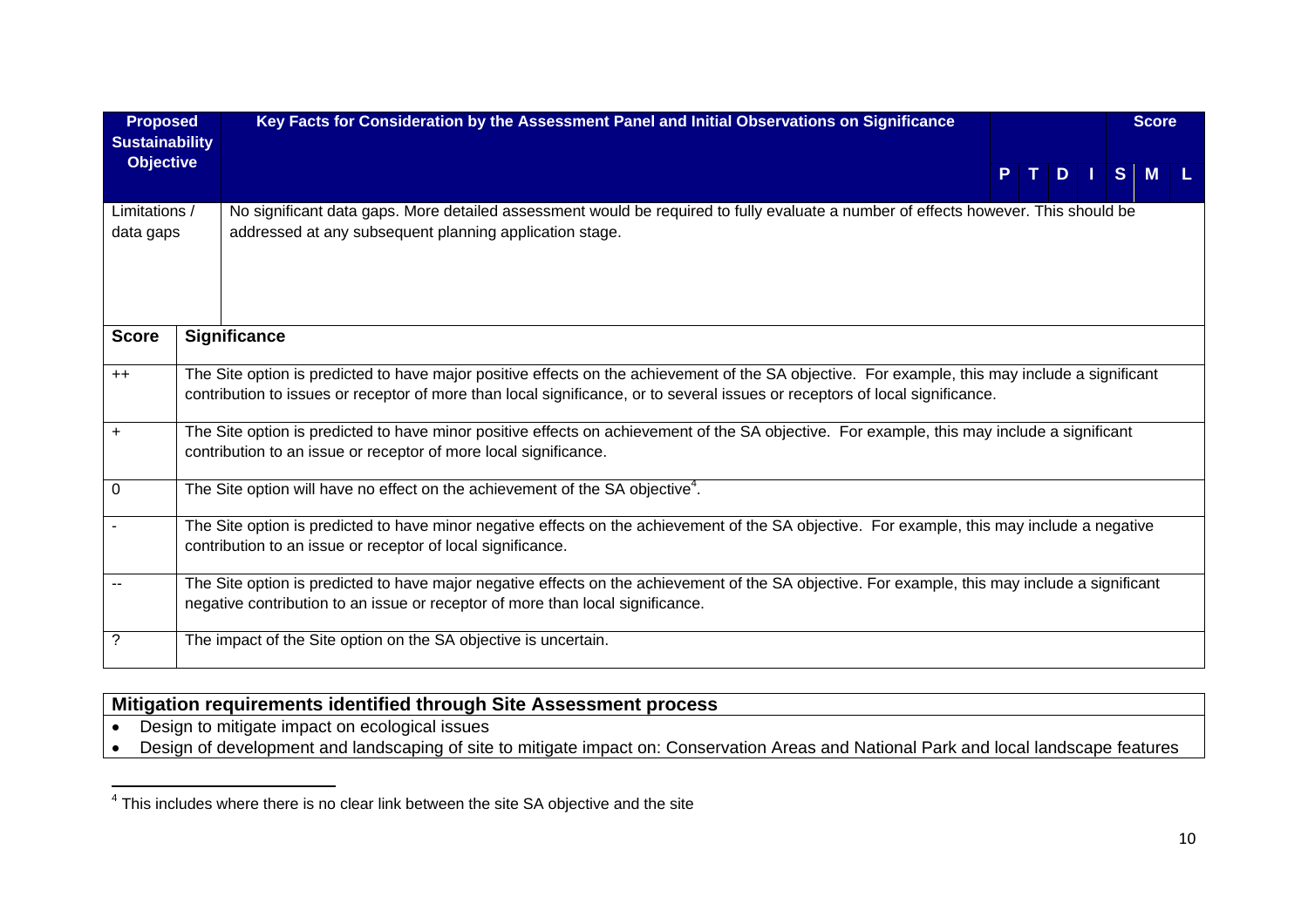| <b>Proposed</b><br><b>Sustainability</b> | Key Facts for Consideration by the Assessment Panel and Initial Observations on Significance                                                                                                                                                                                    |  |        |  | <b>Score</b> |  |
|------------------------------------------|---------------------------------------------------------------------------------------------------------------------------------------------------------------------------------------------------------------------------------------------------------------------------------|--|--------|--|--------------|--|
| <b>Objective</b>                         |                                                                                                                                                                                                                                                                                 |  | PTDISM |  |              |  |
| Limitations /<br>data gaps               | No significant data gaps. More detailed assessment would be required to fully evaluate a number of effects however. This should be<br>addressed at any subsequent planning application stage.                                                                                   |  |        |  |              |  |
| <b>Score</b>                             | <b>Significance</b>                                                                                                                                                                                                                                                             |  |        |  |              |  |
| $++$                                     | The Site option is predicted to have major positive effects on the achievement of the SA objective. For example, this may include a significant<br>contribution to issues or receptor of more than local significance, or to several issues or receptors of local significance. |  |        |  |              |  |
| $\ddot{}$                                | The Site option is predicted to have minor positive effects on achievement of the SA objective. For example, this may include a significant<br>contribution to an issue or receptor of more local significance.                                                                 |  |        |  |              |  |
| $\mathbf 0$                              | The Site option will have no effect on the achievement of the SA objective <sup>4</sup> .                                                                                                                                                                                       |  |        |  |              |  |
|                                          | The Site option is predicted to have minor negative effects on the achievement of the SA objective. For example, this may include a negative<br>contribution to an issue or receptor of local significance.                                                                     |  |        |  |              |  |
|                                          | The Site option is predicted to have major negative effects on the achievement of the SA objective. For example, this may include a significant<br>negative contribution to an issue or receptor of more than local significance.                                               |  |        |  |              |  |
| ?                                        | The impact of the Site option on the SA objective is uncertain.                                                                                                                                                                                                                 |  |        |  |              |  |

# **Mitigation requirements identified through Site Assessment process**

- Design to mitigate impact on ecological issues
- Design of development and landscaping of site to mitigate impact on: Conservation Areas and National Park and local landscape features

<sup>&</sup>lt;sup>4</sup> This includes where there is no clear link between the site SA objective and the site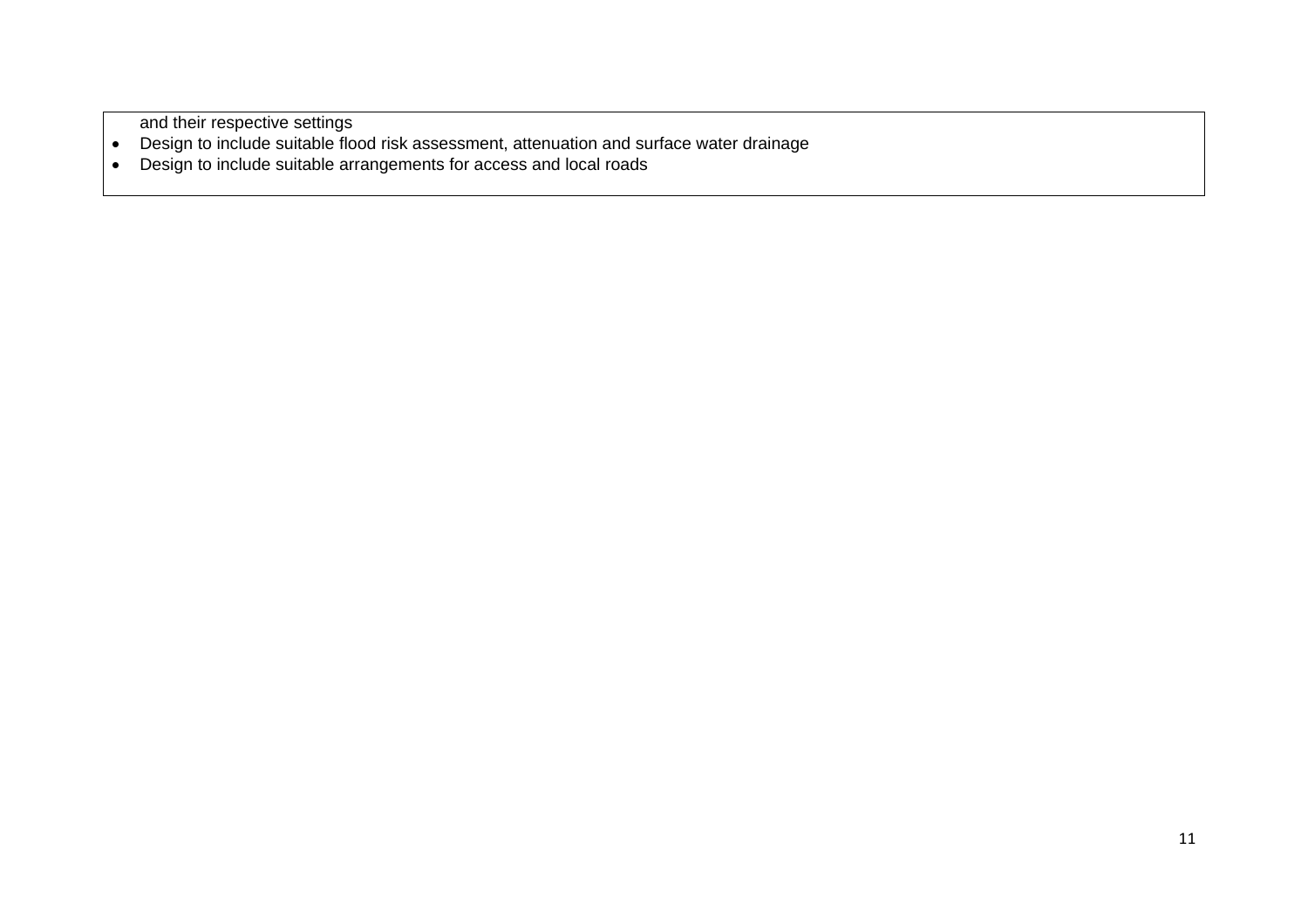and their respective settings

- Design to include suitable flood risk assessment, attenuation and surface water drainage
- Design to include suitable arrangements for access and local roads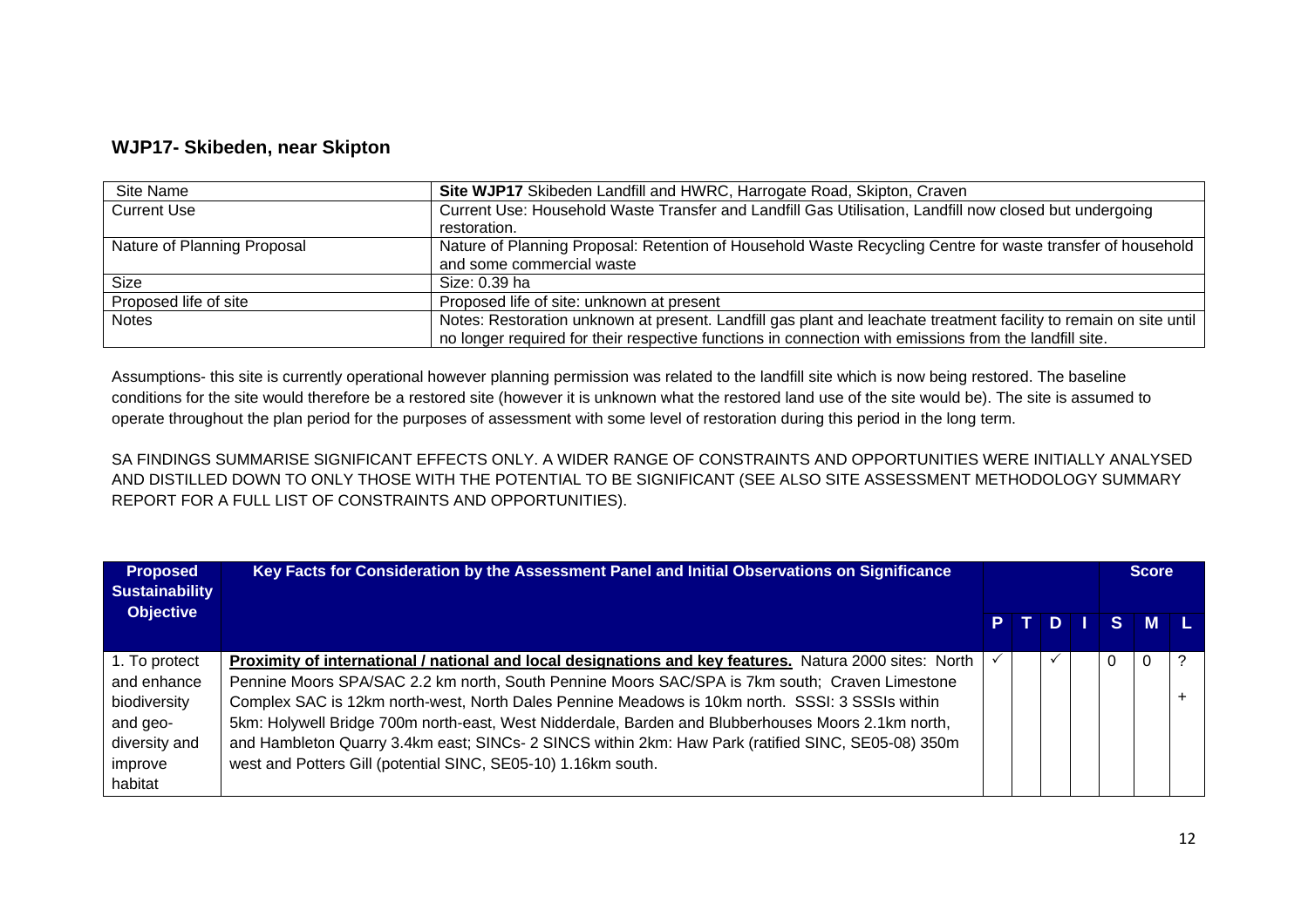#### **WJP17- Skibeden, near Skipton**

| Site Name                   | Site WJP17 Skibeden Landfill and HWRC, Harrogate Road, Skipton, Craven                                            |
|-----------------------------|-------------------------------------------------------------------------------------------------------------------|
| <b>Current Use</b>          | Current Use: Household Waste Transfer and Landfill Gas Utilisation, Landfill now closed but undergoing            |
|                             | restoration.                                                                                                      |
| Nature of Planning Proposal | Nature of Planning Proposal: Retention of Household Waste Recycling Centre for waste transfer of household        |
|                             | and some commercial waste                                                                                         |
| Size                        | Size: 0.39 ha                                                                                                     |
| Proposed life of site       | Proposed life of site: unknown at present                                                                         |
| <b>Notes</b>                | Notes: Restoration unknown at present. Landfill gas plant and leachate treatment facility to remain on site until |
|                             | no longer required for their respective functions in connection with emissions from the landfill site.            |

Assumptions- this site is currently operational however planning permission was related to the landfill site which is now being restored. The baseline conditions for the site would therefore be a restored site (however it is unknown what the restored land use of the site would be). The site is assumed to operate throughout the plan period for the purposes of assessment with some level of restoration during this period in the long term.

SA FINDINGS SUMMARISE SIGNIFICANT EFFECTS ONLY. A WIDER RANGE OF CONSTRAINTS AND OPPORTUNITIES WERE INITIALLY ANALYSED AND DISTILLED DOWN TO ONLY THOSE WITH THE POTENTIAL TO BE SIGNIFICANT (SEE ALSO SITE ASSESSMENT METHODOLOGY SUMMARY REPORT FOR A FULL LIST OF CONSTRAINTS AND OPPORTUNITIES).

| <b>Proposed</b><br><b>Sustainability</b><br><b>Objective</b> | Key Facts for Consideration by the Assessment Panel and Initial Observations on Significance            |  |  |   | <b>Score</b> |  |
|--------------------------------------------------------------|---------------------------------------------------------------------------------------------------------|--|--|---|--------------|--|
|                                                              |                                                                                                         |  |  |   | PTDISML      |  |
| 1. To protect                                                | Proximity of international / national and local designations and key features. Natura 2000 sites: North |  |  | 0 |              |  |
| and enhance                                                  | Pennine Moors SPA/SAC 2.2 km north, South Pennine Moors SAC/SPA is 7km south; Craven Limestone          |  |  |   |              |  |
| biodiversity                                                 | Complex SAC is 12km north-west, North Dales Pennine Meadows is 10km north. SSSI: 3 SSSIs within         |  |  |   |              |  |
| and geo-                                                     | 5km: Holywell Bridge 700m north-east, West Nidderdale, Barden and Blubberhouses Moors 2.1km north,      |  |  |   |              |  |
| diversity and                                                | and Hambleton Quarry 3.4km east; SINCs- 2 SINCS within 2km: Haw Park (ratified SINC, SE05-08) 350m      |  |  |   |              |  |
| improve                                                      | west and Potters Gill (potential SINC, SE05-10) 1.16km south.                                           |  |  |   |              |  |
| habitat                                                      |                                                                                                         |  |  |   |              |  |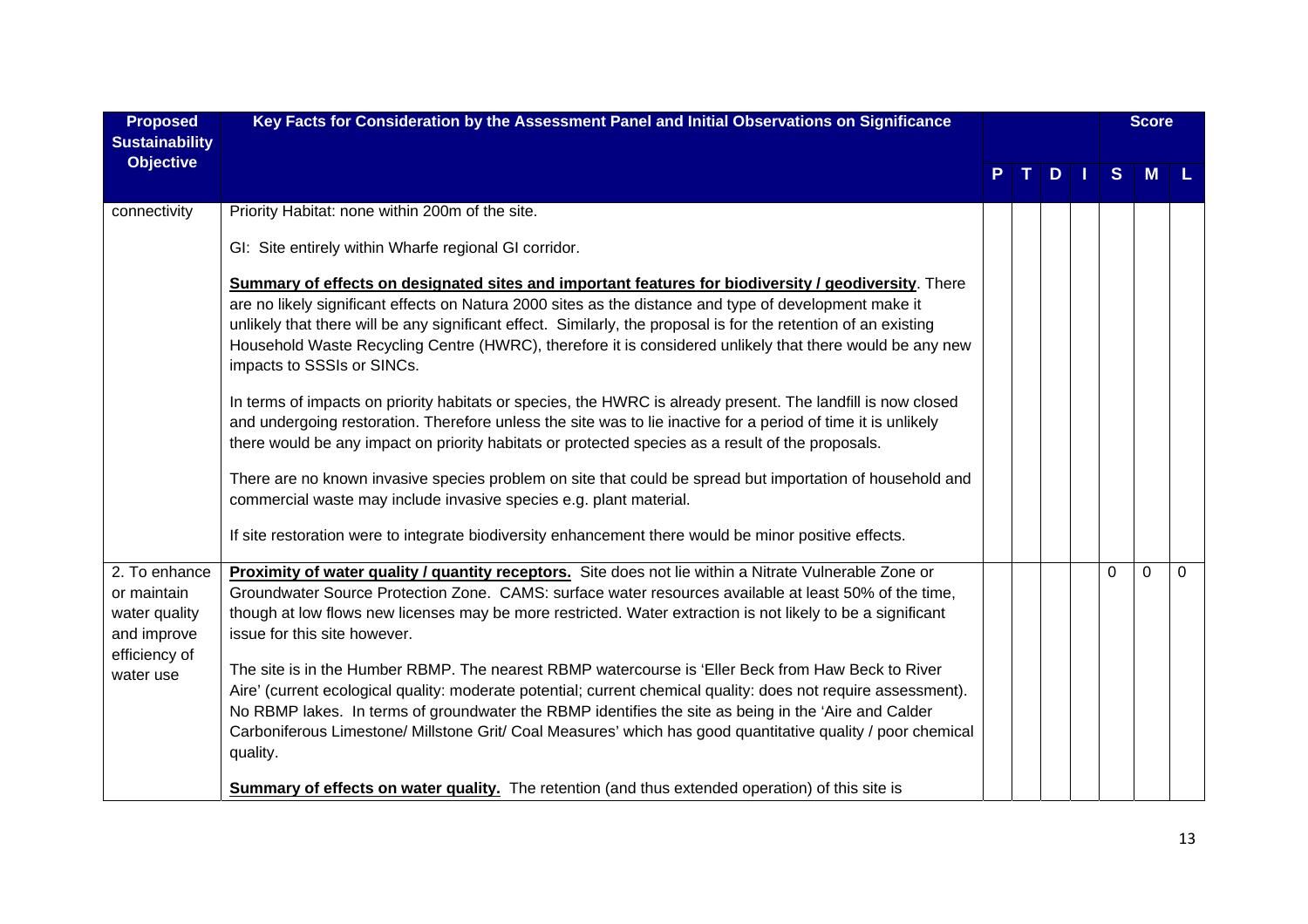| <b>Proposed</b><br><b>Sustainability</b>                                                   | Key Facts for Consideration by the Assessment Panel and Initial Observations on Significance                                                                                                                                                                                                                                                                                                                                                                                                                                                                                                                                                                                                                                                                                                                              |  |     |          | <b>Score</b> |              |
|--------------------------------------------------------------------------------------------|---------------------------------------------------------------------------------------------------------------------------------------------------------------------------------------------------------------------------------------------------------------------------------------------------------------------------------------------------------------------------------------------------------------------------------------------------------------------------------------------------------------------------------------------------------------------------------------------------------------------------------------------------------------------------------------------------------------------------------------------------------------------------------------------------------------------------|--|-----|----------|--------------|--------------|
| <b>Objective</b>                                                                           |                                                                                                                                                                                                                                                                                                                                                                                                                                                                                                                                                                                                                                                                                                                                                                                                                           |  | $D$ | S        | M            |              |
| connectivity                                                                               | Priority Habitat: none within 200m of the site.                                                                                                                                                                                                                                                                                                                                                                                                                                                                                                                                                                                                                                                                                                                                                                           |  |     |          |              |              |
|                                                                                            | GI: Site entirely within Wharfe regional GI corridor.                                                                                                                                                                                                                                                                                                                                                                                                                                                                                                                                                                                                                                                                                                                                                                     |  |     |          |              |              |
|                                                                                            | Summary of effects on designated sites and important features for biodiversity / geodiversity. There<br>are no likely significant effects on Natura 2000 sites as the distance and type of development make it<br>unlikely that there will be any significant effect. Similarly, the proposal is for the retention of an existing<br>Household Waste Recycling Centre (HWRC), therefore it is considered unlikely that there would be any new<br>impacts to SSSIs or SINCs.                                                                                                                                                                                                                                                                                                                                               |  |     |          |              |              |
|                                                                                            | In terms of impacts on priority habitats or species, the HWRC is already present. The landfill is now closed<br>and undergoing restoration. Therefore unless the site was to lie inactive for a period of time it is unlikely<br>there would be any impact on priority habitats or protected species as a result of the proposals.                                                                                                                                                                                                                                                                                                                                                                                                                                                                                        |  |     |          |              |              |
|                                                                                            | There are no known invasive species problem on site that could be spread but importation of household and<br>commercial waste may include invasive species e.g. plant material.                                                                                                                                                                                                                                                                                                                                                                                                                                                                                                                                                                                                                                           |  |     |          |              |              |
|                                                                                            | If site restoration were to integrate biodiversity enhancement there would be minor positive effects.                                                                                                                                                                                                                                                                                                                                                                                                                                                                                                                                                                                                                                                                                                                     |  |     |          |              |              |
| 2. To enhance<br>or maintain<br>water quality<br>and improve<br>efficiency of<br>water use | Proximity of water quality / quantity receptors. Site does not lie within a Nitrate Vulnerable Zone or<br>Groundwater Source Protection Zone. CAMS: surface water resources available at least 50% of the time,<br>though at low flows new licenses may be more restricted. Water extraction is not likely to be a significant<br>issue for this site however.<br>The site is in the Humber RBMP. The nearest RBMP watercourse is 'Eller Beck from Haw Beck to River<br>Aire' (current ecological quality: moderate potential; current chemical quality: does not require assessment).<br>No RBMP lakes. In terms of groundwater the RBMP identifies the site as being in the 'Aire and Calder<br>Carboniferous Limestone/ Millstone Grit/ Coal Measures' which has good quantitative quality / poor chemical<br>quality. |  |     | $\Omega$ | $\Omega$     | $\mathbf{0}$ |
|                                                                                            | <b>Summary of effects on water quality.</b> The retention (and thus extended operation) of this site is                                                                                                                                                                                                                                                                                                                                                                                                                                                                                                                                                                                                                                                                                                                   |  |     |          |              |              |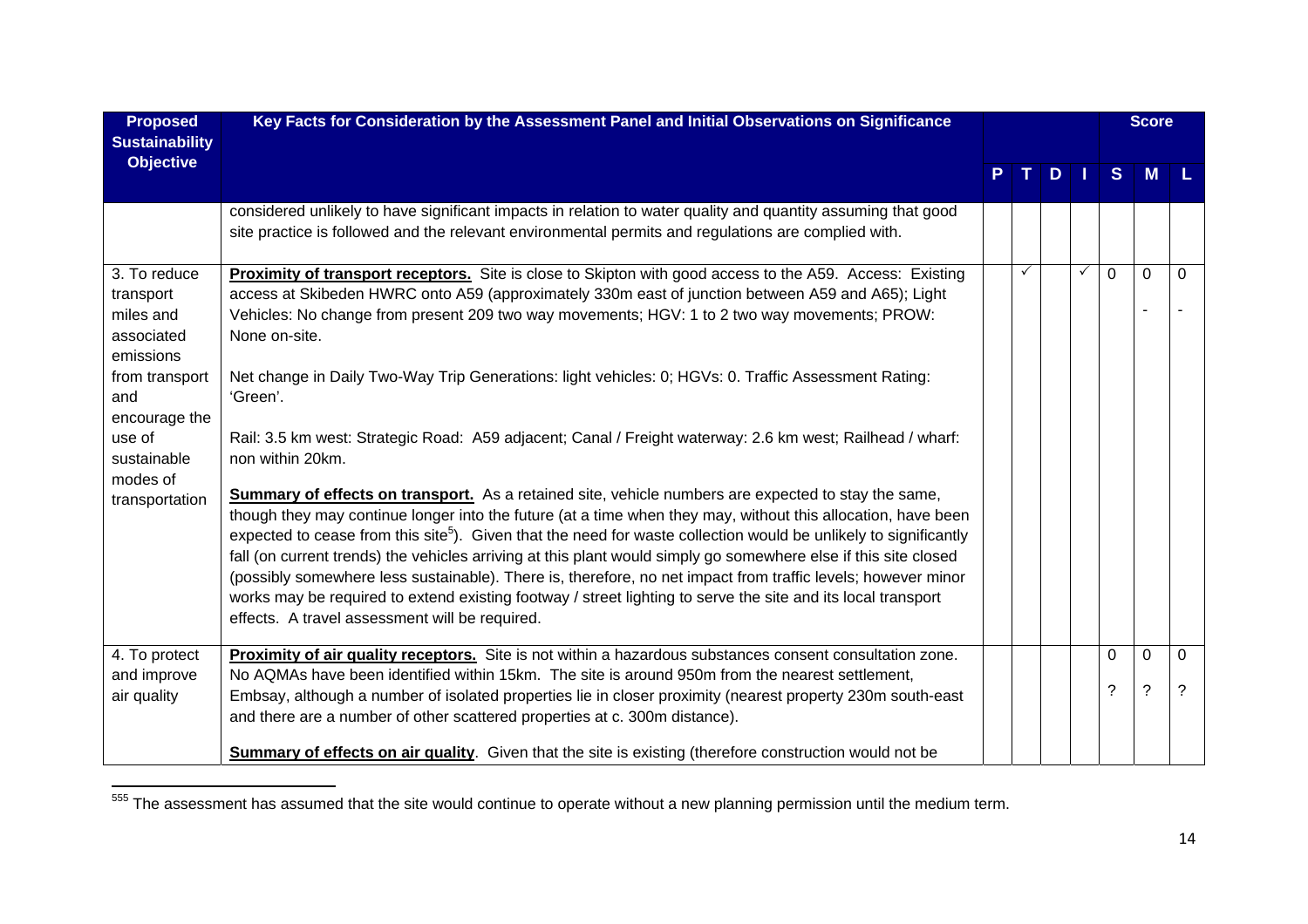| <b>Proposed</b>                                                   | Key Facts for Consideration by the Assessment Panel and Initial Observations on Significance                                                                                                                                                                                                                                                                                                                                                                                  |              |                |              |              | <b>Score</b> |          |
|-------------------------------------------------------------------|-------------------------------------------------------------------------------------------------------------------------------------------------------------------------------------------------------------------------------------------------------------------------------------------------------------------------------------------------------------------------------------------------------------------------------------------------------------------------------|--------------|----------------|--------------|--------------|--------------|----------|
| <b>Sustainability</b>                                             |                                                                                                                                                                                                                                                                                                                                                                                                                                                                               |              |                |              |              |              |          |
| <b>Objective</b>                                                  |                                                                                                                                                                                                                                                                                                                                                                                                                                                                               |              | D <sub>1</sub> |              | <sub>S</sub> | M            |          |
|                                                                   | considered unlikely to have significant impacts in relation to water quality and quantity assuming that good<br>site practice is followed and the relevant environmental permits and regulations are complied with.                                                                                                                                                                                                                                                           |              |                |              |              |              |          |
| 3. To reduce<br>transport<br>miles and<br>associated<br>emissions | Proximity of transport receptors. Site is close to Skipton with good access to the A59. Access: Existing<br>access at Skibeden HWRC onto A59 (approximately 330m east of junction between A59 and A65); Light<br>Vehicles: No change from present 209 two way movements; HGV: 1 to 2 two way movements; PROW:<br>None on-site.                                                                                                                                                | $\checkmark$ |                | $\checkmark$ | $\mathbf 0$  | $\mathbf 0$  | 0        |
| from transport<br>and<br>encourage the                            | Net change in Daily Two-Way Trip Generations: light vehicles: 0; HGVs: 0. Traffic Assessment Rating:<br>'Green'.                                                                                                                                                                                                                                                                                                                                                              |              |                |              |              |              |          |
| use of<br>sustainable<br>modes of                                 | Rail: 3.5 km west: Strategic Road: A59 adjacent; Canal / Freight waterway: 2.6 km west; Railhead / wharf:<br>non within 20km.                                                                                                                                                                                                                                                                                                                                                 |              |                |              |              |              |          |
| transportation                                                    | <b>Summary of effects on transport.</b> As a retained site, vehicle numbers are expected to stay the same,<br>though they may continue longer into the future (at a time when they may, without this allocation, have been<br>expected to cease from this site <sup>5</sup> ). Given that the need for waste collection would be unlikely to significantly<br>fall (on current trends) the vehicles arriving at this plant would simply go somewhere else if this site closed |              |                |              |              |              |          |
|                                                                   | (possibly somewhere less sustainable). There is, therefore, no net impact from traffic levels; however minor<br>works may be required to extend existing footway / street lighting to serve the site and its local transport<br>effects. A travel assessment will be required.                                                                                                                                                                                                |              |                |              |              |              |          |
| 4. To protect                                                     | Proximity of air quality receptors. Site is not within a hazardous substances consent consultation zone.                                                                                                                                                                                                                                                                                                                                                                      |              |                |              | 0            | $\Omega$     | $\Omega$ |
| and improve<br>air quality                                        | No AQMAs have been identified within 15km. The site is around 950m from the nearest settlement,<br>Embsay, although a number of isolated properties lie in closer proximity (nearest property 230m south-east<br>and there are a number of other scattered properties at c. 300m distance).                                                                                                                                                                                   |              |                |              | ?            | ?            | 7        |
|                                                                   | <b>Summary of effects on air quality</b> . Given that the site is existing (therefore construction would not be                                                                                                                                                                                                                                                                                                                                                               |              |                |              |              |              |          |

<sup>555</sup> The assessment has assumed that the site would continue to operate without a new planning permission until the medium term.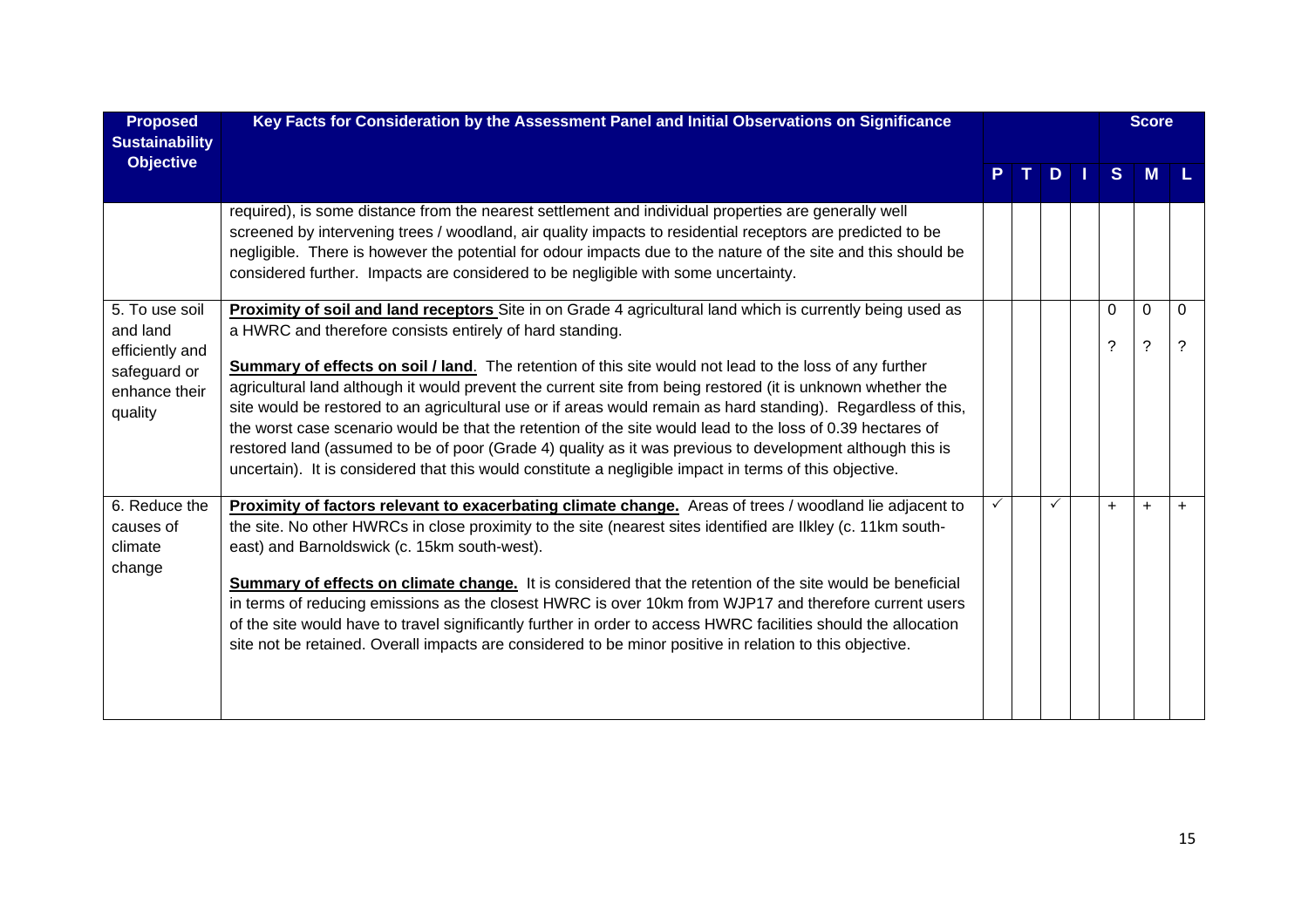| <b>Proposed</b><br><b>Sustainability</b>                                                  | Key Facts for Consideration by the Assessment Panel and Initial Observations on Significance                                                                                                                                                                                                                                                                                                                                                                                                                                                                                                                                                                                                                                                                                                                                                                   |  |               |               | <b>Score</b>                         |           |
|-------------------------------------------------------------------------------------------|----------------------------------------------------------------------------------------------------------------------------------------------------------------------------------------------------------------------------------------------------------------------------------------------------------------------------------------------------------------------------------------------------------------------------------------------------------------------------------------------------------------------------------------------------------------------------------------------------------------------------------------------------------------------------------------------------------------------------------------------------------------------------------------------------------------------------------------------------------------|--|---------------|---------------|--------------------------------------|-----------|
| <b>Objective</b>                                                                          |                                                                                                                                                                                                                                                                                                                                                                                                                                                                                                                                                                                                                                                                                                                                                                                                                                                                |  | $D \mid \mid$ | S             | M                                    |           |
|                                                                                           | required), is some distance from the nearest settlement and individual properties are generally well<br>screened by intervening trees / woodland, air quality impacts to residential receptors are predicted to be<br>negligible. There is however the potential for odour impacts due to the nature of the site and this should be<br>considered further. Impacts are considered to be negligible with some uncertainty.                                                                                                                                                                                                                                                                                                                                                                                                                                      |  |               |               |                                      |           |
| 5. To use soil<br>and land<br>efficiently and<br>safeguard or<br>enhance their<br>quality | Proximity of soil and land receptors Site in on Grade 4 agricultural land which is currently being used as<br>a HWRC and therefore consists entirely of hard standing.<br><b>Summary of effects on soil / land.</b> The retention of this site would not lead to the loss of any further<br>agricultural land although it would prevent the current site from being restored (it is unknown whether the<br>site would be restored to an agricultural use or if areas would remain as hard standing). Regardless of this,<br>the worst case scenario would be that the retention of the site would lead to the loss of 0.39 hectares of<br>restored land (assumed to be of poor (Grade 4) quality as it was previous to development although this is<br>uncertain). It is considered that this would constitute a negligible impact in terms of this objective. |  |               | $\Omega$<br>? | $\Omega$<br>$\overline{\phantom{0}}$ | $\Omega$  |
| 6. Reduce the<br>causes of<br>climate<br>change                                           | Proximity of factors relevant to exacerbating climate change. Areas of trees / woodland lie adjacent to<br>the site. No other HWRCs in close proximity to the site (nearest sites identified are likley (c. 11km south-<br>east) and Barnoldswick (c. 15km south-west).<br><b>Summary of effects on climate change.</b> It is considered that the retention of the site would be beneficial<br>in terms of reducing emissions as the closest HWRC is over 10km from WJP17 and therefore current users<br>of the site would have to travel significantly further in order to access HWRC facilities should the allocation<br>site not be retained. Overall impacts are considered to be minor positive in relation to this objective.                                                                                                                           |  |               | $\ddot{}$     | $\ddot{}$                            | $\ddot{}$ |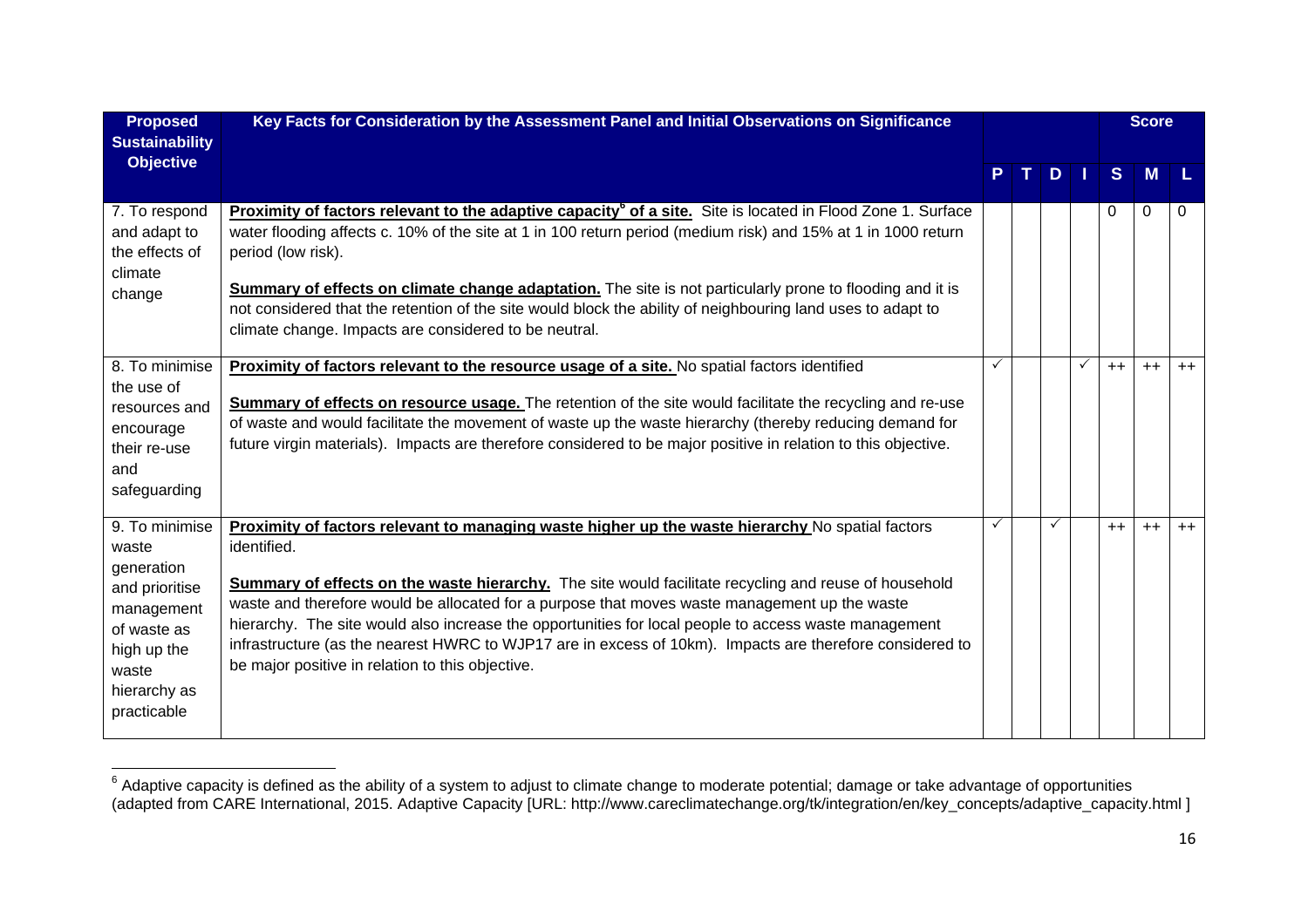| <b>Proposed</b><br><b>Sustainability</b>                                                                                                    | Key Facts for Consideration by the Assessment Panel and Initial Observations on Significance                                                                                                                                                                                                                                                                                                                                                                                                                                                                                                       |   |    |              |              | <b>Score</b> |      |
|---------------------------------------------------------------------------------------------------------------------------------------------|----------------------------------------------------------------------------------------------------------------------------------------------------------------------------------------------------------------------------------------------------------------------------------------------------------------------------------------------------------------------------------------------------------------------------------------------------------------------------------------------------------------------------------------------------------------------------------------------------|---|----|--------------|--------------|--------------|------|
| <b>Objective</b>                                                                                                                            |                                                                                                                                                                                                                                                                                                                                                                                                                                                                                                                                                                                                    |   | D. |              | <sub>S</sub> | <b>M</b>     |      |
| 7. To respond<br>and adapt to<br>the effects of<br>climate<br>change                                                                        | <b>Proximity of factors relevant to the adaptive capacity<sup>6</sup> of a site.</b> Site is located in Flood Zone 1. Surface<br>water flooding affects c. 10% of the site at 1 in 100 return period (medium risk) and 15% at 1 in 1000 return<br>period (low risk).<br>Summary of effects on climate change adaptation. The site is not particularly prone to flooding and it is<br>not considered that the retention of the site would block the ability of neighbouring land uses to adapt to<br>climate change. Impacts are considered to be neutral.                                          |   |    |              | 0            | $\Omega$     | 0    |
| 8. To minimise<br>the use of<br>resources and<br>encourage<br>their re-use<br>and<br>safeguarding                                           | Proximity of factors relevant to the resource usage of a site. No spatial factors identified<br><b>Summary of effects on resource usage.</b> The retention of the site would facilitate the recycling and re-use<br>of waste and would facilitate the movement of waste up the waste hierarchy (thereby reducing demand for<br>future virgin materials). Impacts are therefore considered to be major positive in relation to this objective.                                                                                                                                                      | ✓ |    | $\checkmark$ | $++$         | $++$         | $++$ |
| 9. To minimise<br>waste<br>generation<br>and prioritise<br>management<br>of waste as<br>high up the<br>waste<br>hierarchy as<br>practicable | Proximity of factors relevant to managing waste higher up the waste hierarchy No spatial factors<br>identified.<br>Summary of effects on the waste hierarchy. The site would facilitate recycling and reuse of household<br>waste and therefore would be allocated for a purpose that moves waste management up the waste<br>hierarchy. The site would also increase the opportunities for local people to access waste management<br>infrastructure (as the nearest HWRC to WJP17 are in excess of 10km). Impacts are therefore considered to<br>be major positive in relation to this objective. |   |    |              | $++$         | $++$         | $++$ |

 $^6$  Adaptive capacity is defined as the ability of a system to adjust to climate change to moderate potential; damage or take advantage of opportunities (adapted from CARE International, 2015. Adaptive Capacity [URL: http://www.careclimatechange.org/tk/integration/en/key\_concepts/adaptive\_capacity.html ]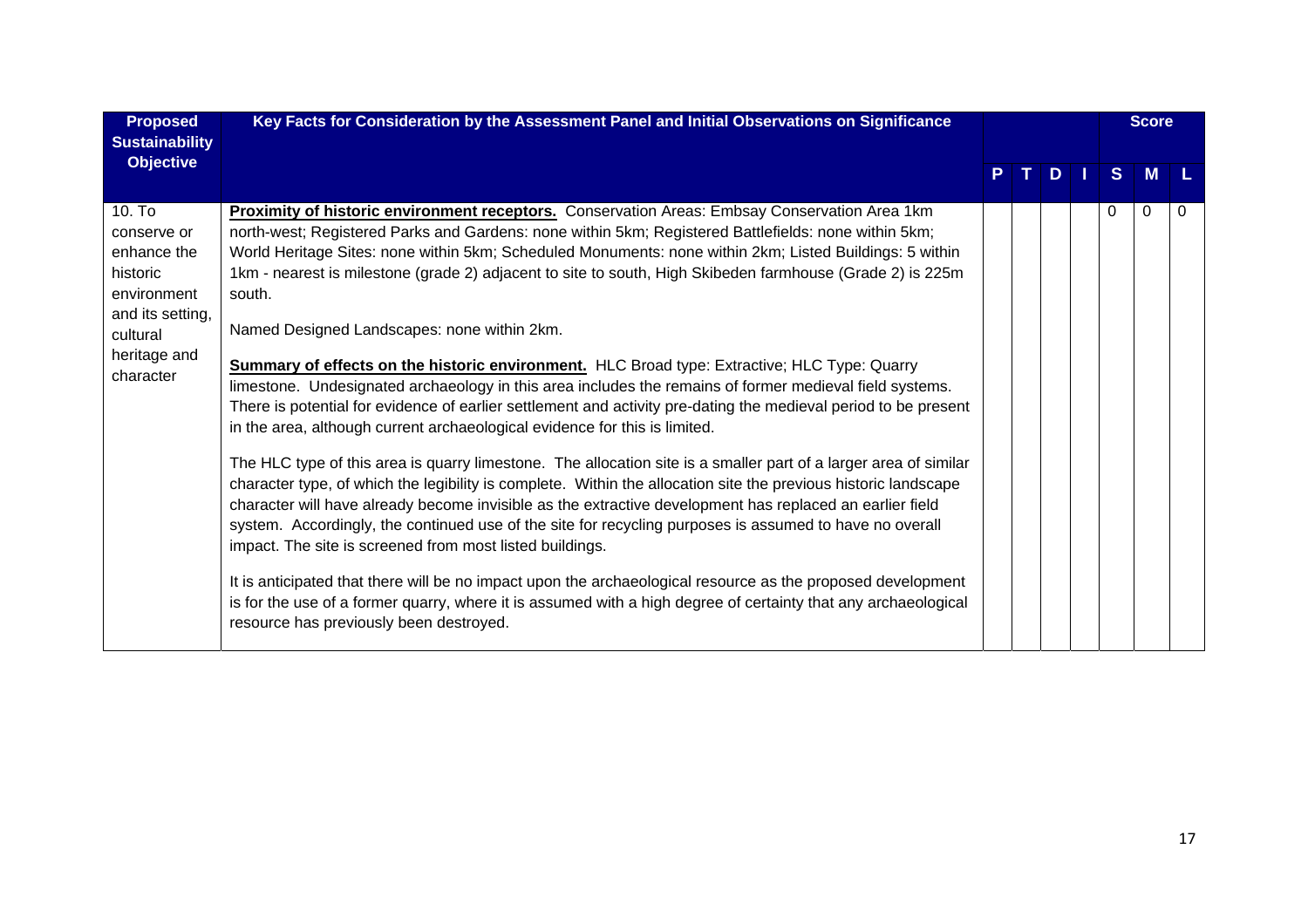| <b>Proposed</b><br><b>Sustainability</b>                                                                                     | Key Facts for Consideration by the Assessment Panel and Initial Observations on Significance                                                                                                                                                                                                                                                                                                                                                                                                                                                                                                                                                                                                                                                                                                                                                                                                                                                                                                                                                                                                                                                                                                                                                                                                                                                                                                                                                                                                                                                                                                                                                                                                                    |  |               |   | <b>Score</b> |   |
|------------------------------------------------------------------------------------------------------------------------------|-----------------------------------------------------------------------------------------------------------------------------------------------------------------------------------------------------------------------------------------------------------------------------------------------------------------------------------------------------------------------------------------------------------------------------------------------------------------------------------------------------------------------------------------------------------------------------------------------------------------------------------------------------------------------------------------------------------------------------------------------------------------------------------------------------------------------------------------------------------------------------------------------------------------------------------------------------------------------------------------------------------------------------------------------------------------------------------------------------------------------------------------------------------------------------------------------------------------------------------------------------------------------------------------------------------------------------------------------------------------------------------------------------------------------------------------------------------------------------------------------------------------------------------------------------------------------------------------------------------------------------------------------------------------------------------------------------------------|--|---------------|---|--------------|---|
| <b>Objective</b>                                                                                                             |                                                                                                                                                                                                                                                                                                                                                                                                                                                                                                                                                                                                                                                                                                                                                                                                                                                                                                                                                                                                                                                                                                                                                                                                                                                                                                                                                                                                                                                                                                                                                                                                                                                                                                                 |  | $D \mid \mid$ | S | <b>M</b>     |   |
| 10. To<br>conserve or<br>enhance the<br>historic<br>environment<br>and its setting,<br>cultural<br>heritage and<br>character | Proximity of historic environment receptors. Conservation Areas: Embsay Conservation Area 1km<br>north-west; Registered Parks and Gardens: none within 5km; Registered Battlefields: none within 5km;<br>World Heritage Sites: none within 5km; Scheduled Monuments: none within 2km; Listed Buildings: 5 within<br>1km - nearest is milestone (grade 2) adjacent to site to south, High Skibeden farmhouse (Grade 2) is 225m<br>south.<br>Named Designed Landscapes: none within 2km.<br><b>Summary of effects on the historic environment.</b> HLC Broad type: Extractive; HLC Type: Quarry<br>limestone. Undesignated archaeology in this area includes the remains of former medieval field systems.<br>There is potential for evidence of earlier settlement and activity pre-dating the medieval period to be present<br>in the area, although current archaeological evidence for this is limited.<br>The HLC type of this area is quarry limestone. The allocation site is a smaller part of a larger area of similar<br>character type, of which the legibility is complete. Within the allocation site the previous historic landscape<br>character will have already become invisible as the extractive development has replaced an earlier field<br>system. Accordingly, the continued use of the site for recycling purposes is assumed to have no overall<br>impact. The site is screened from most listed buildings.<br>It is anticipated that there will be no impact upon the archaeological resource as the proposed development<br>is for the use of a former quarry, where it is assumed with a high degree of certainty that any archaeological<br>resource has previously been destroyed. |  |               | 0 | 0            | 0 |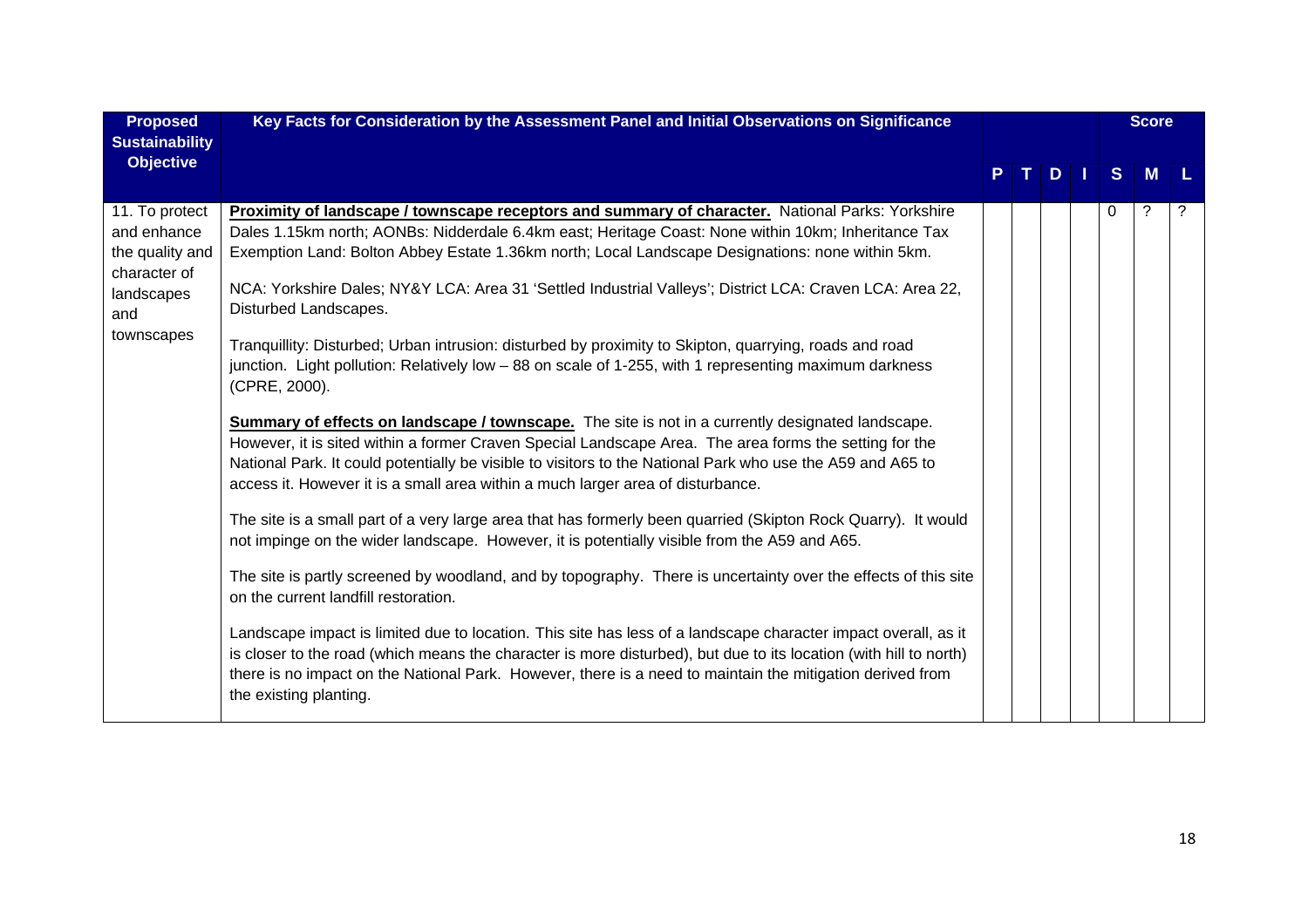| <b>Proposed</b><br><b>Sustainability</b>                                                            | Key Facts for Consideration by the Assessment Panel and Initial Observations on Significance                                                                                                                                                                                                                                                                                                                                                                                                                                                                                                                                                                                                                                                                                                                                                                                                                                                                                                                                                                                                                                                                                                                                                                                                                                                                                                                                                                                                                                                                                                                                                                                                                                                                                                                                                                          |              |   |   | <b>Score</b> |  |
|-----------------------------------------------------------------------------------------------------|-----------------------------------------------------------------------------------------------------------------------------------------------------------------------------------------------------------------------------------------------------------------------------------------------------------------------------------------------------------------------------------------------------------------------------------------------------------------------------------------------------------------------------------------------------------------------------------------------------------------------------------------------------------------------------------------------------------------------------------------------------------------------------------------------------------------------------------------------------------------------------------------------------------------------------------------------------------------------------------------------------------------------------------------------------------------------------------------------------------------------------------------------------------------------------------------------------------------------------------------------------------------------------------------------------------------------------------------------------------------------------------------------------------------------------------------------------------------------------------------------------------------------------------------------------------------------------------------------------------------------------------------------------------------------------------------------------------------------------------------------------------------------------------------------------------------------------------------------------------------------|--------------|---|---|--------------|--|
| <b>Objective</b>                                                                                    |                                                                                                                                                                                                                                                                                                                                                                                                                                                                                                                                                                                                                                                                                                                                                                                                                                                                                                                                                                                                                                                                                                                                                                                                                                                                                                                                                                                                                                                                                                                                                                                                                                                                                                                                                                                                                                                                       | $\mathbf{T}$ | D | S | M            |  |
| 11. To protect<br>and enhance<br>the quality and<br>character of<br>landscapes<br>and<br>townscapes | Proximity of landscape / townscape receptors and summary of character. National Parks: Yorkshire<br>Dales 1.15km north; AONBs: Nidderdale 6.4km east; Heritage Coast: None within 10km; Inheritance Tax<br>Exemption Land: Bolton Abbey Estate 1.36km north; Local Landscape Designations: none within 5km.<br>NCA: Yorkshire Dales; NY&Y LCA: Area 31 'Settled Industrial Valleys'; District LCA: Craven LCA: Area 22,<br>Disturbed Landscapes.<br>Tranquillity: Disturbed; Urban intrusion: disturbed by proximity to Skipton, quarrying, roads and road<br>junction. Light pollution: Relatively low - 88 on scale of 1-255, with 1 representing maximum darkness<br>(CPRE, 2000).<br><b>Summary of effects on landscape / townscape.</b> The site is not in a currently designated landscape.<br>However, it is sited within a former Craven Special Landscape Area. The area forms the setting for the<br>National Park. It could potentially be visible to visitors to the National Park who use the A59 and A65 to<br>access it. However it is a small area within a much larger area of disturbance.<br>The site is a small part of a very large area that has formerly been quarried (Skipton Rock Quarry). It would<br>not impinge on the wider landscape. However, it is potentially visible from the A59 and A65.<br>The site is partly screened by woodland, and by topography. There is uncertainty over the effects of this site<br>on the current landfill restoration.<br>Landscape impact is limited due to location. This site has less of a landscape character impact overall, as it<br>is closer to the road (which means the character is more disturbed), but due to its location (with hill to north)<br>there is no impact on the National Park. However, there is a need to maintain the mitigation derived from<br>the existing planting. |              |   | 0 | ?            |  |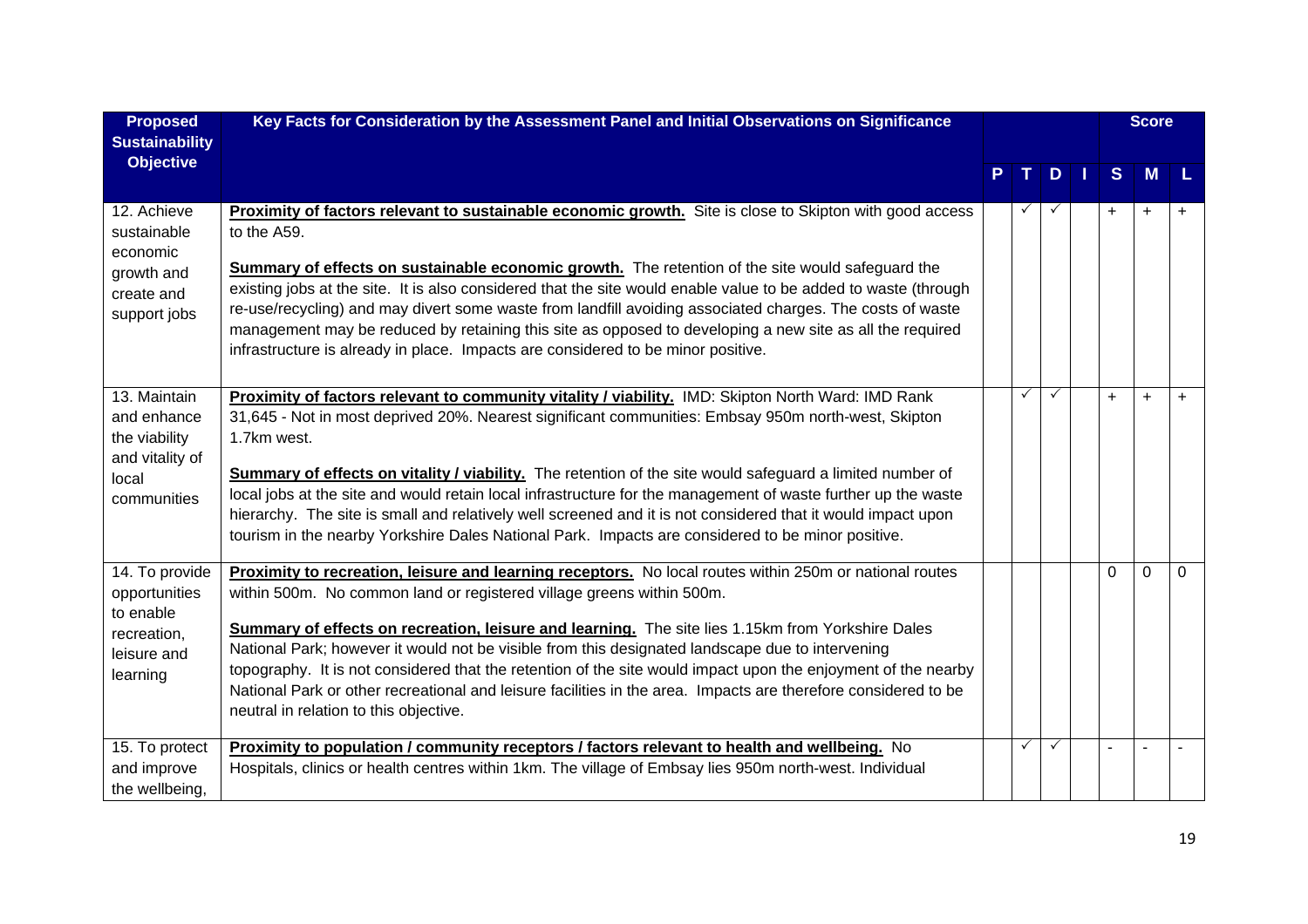| <b>Proposed</b>                                                                         | Key Facts for Consideration by the Assessment Panel and Initial Observations on Significance                                                                                                                                                                                                                                                                                                                                                                                                                                                                                                                                                                                       |              |              |     | <b>Score</b> |           |
|-----------------------------------------------------------------------------------------|------------------------------------------------------------------------------------------------------------------------------------------------------------------------------------------------------------------------------------------------------------------------------------------------------------------------------------------------------------------------------------------------------------------------------------------------------------------------------------------------------------------------------------------------------------------------------------------------------------------------------------------------------------------------------------|--------------|--------------|-----|--------------|-----------|
| <b>Sustainability</b><br><b>Objective</b>                                               |                                                                                                                                                                                                                                                                                                                                                                                                                                                                                                                                                                                                                                                                                    |              |              |     |              |           |
|                                                                                         |                                                                                                                                                                                                                                                                                                                                                                                                                                                                                                                                                                                                                                                                                    |              | $D$          | S   | M            |           |
| 12. Achieve<br>sustainable<br>economic<br>growth and<br>create and<br>support jobs      | Proximity of factors relevant to sustainable economic growth. Site is close to Skipton with good access<br>to the A59.<br><b>Summary of effects on sustainable economic growth.</b> The retention of the site would safeguard the<br>existing jobs at the site. It is also considered that the site would enable value to be added to waste (through<br>re-use/recycling) and may divert some waste from landfill avoiding associated charges. The costs of waste<br>management may be reduced by retaining this site as opposed to developing a new site as all the required<br>infrastructure is already in place. Impacts are considered to be minor positive.                  |              |              | $+$ | $\ddot{}$    | $+$       |
| 13. Maintain<br>and enhance<br>the viability<br>and vitality of<br>local<br>communities | Proximity of factors relevant to community vitality / viability. IMD: Skipton North Ward: IMD Rank<br>31,645 - Not in most deprived 20%. Nearest significant communities: Embsay 950m north-west, Skipton<br>1.7km west.<br><b>Summary of effects on vitality / viability.</b> The retention of the site would safeguard a limited number of<br>local jobs at the site and would retain local infrastructure for the management of waste further up the waste<br>hierarchy. The site is small and relatively well screened and it is not considered that it would impact upon<br>tourism in the nearby Yorkshire Dales National Park. Impacts are considered to be minor positive. | $\checkmark$ | $\checkmark$ | $+$ | $\ddot{}$    | $\ddot{}$ |
| 14. To provide<br>opportunities<br>to enable<br>recreation,<br>leisure and<br>learning  | Proximity to recreation, leisure and learning receptors. No local routes within 250m or national routes<br>within 500m. No common land or registered village greens within 500m.<br>Summary of effects on recreation, leisure and learning. The site lies 1.15km from Yorkshire Dales<br>National Park; however it would not be visible from this designated landscape due to intervening<br>topography. It is not considered that the retention of the site would impact upon the enjoyment of the nearby<br>National Park or other recreational and leisure facilities in the area. Impacts are therefore considered to be<br>neutral in relation to this objective.             |              |              | 0   | $\Omega$     | $\Omega$  |
| 15. To protect<br>and improve<br>the wellbeing,                                         | Proximity to population / community receptors / factors relevant to health and wellbeing. No<br>Hospitals, clinics or health centres within 1km. The village of Embsay lies 950m north-west. Individual                                                                                                                                                                                                                                                                                                                                                                                                                                                                            | ✓            | $\checkmark$ |     |              |           |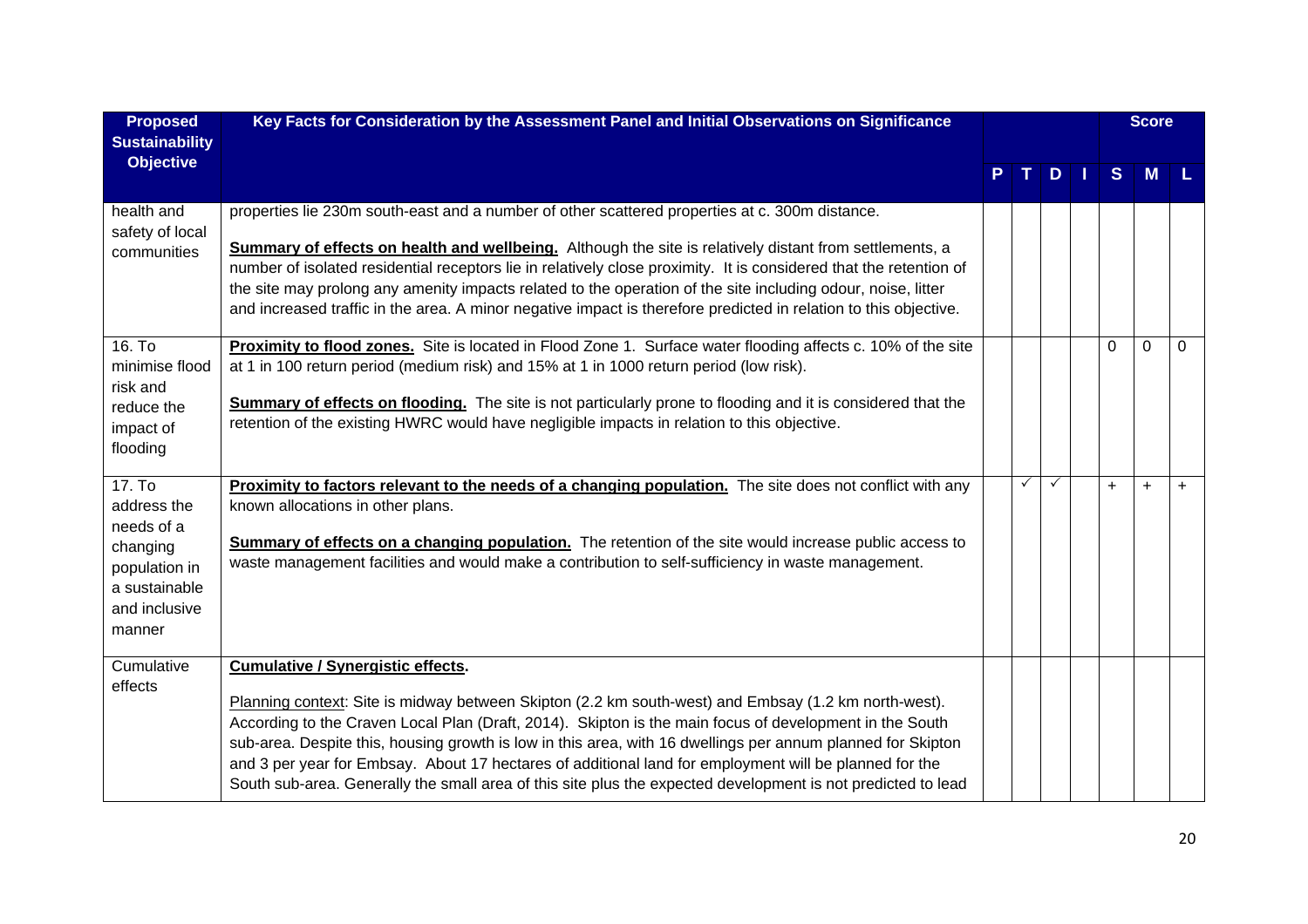| <b>Proposed</b><br><b>Sustainability</b>                                                                     | Key Facts for Consideration by the Assessment Panel and Initial Observations on Significance                                                                                                                                                                                                                                                                                                                                                                                                                                                                                                         |   |   |          | <b>Score</b> |             |
|--------------------------------------------------------------------------------------------------------------|------------------------------------------------------------------------------------------------------------------------------------------------------------------------------------------------------------------------------------------------------------------------------------------------------------------------------------------------------------------------------------------------------------------------------------------------------------------------------------------------------------------------------------------------------------------------------------------------------|---|---|----------|--------------|-------------|
| <b>Objective</b>                                                                                             |                                                                                                                                                                                                                                                                                                                                                                                                                                                                                                                                                                                                      |   | D | S        | M            |             |
| health and<br>safety of local<br>communities                                                                 | properties lie 230m south-east and a number of other scattered properties at c. 300m distance.<br><b>Summary of effects on health and wellbeing.</b> Although the site is relatively distant from settlements, a<br>number of isolated residential receptors lie in relatively close proximity. It is considered that the retention of<br>the site may prolong any amenity impacts related to the operation of the site including odour, noise, litter<br>and increased traffic in the area. A minor negative impact is therefore predicted in relation to this objective.                           |   |   |          |              |             |
| 16. To<br>minimise flood<br>risk and<br>reduce the<br>impact of<br>flooding                                  | Proximity to flood zones. Site is located in Flood Zone 1. Surface water flooding affects c. 10% of the site<br>at 1 in 100 return period (medium risk) and 15% at 1 in 1000 return period (low risk).<br>Summary of effects on flooding. The site is not particularly prone to flooding and it is considered that the<br>retention of the existing HWRC would have negligible impacts in relation to this objective.                                                                                                                                                                                |   |   | $\Omega$ | $\mathbf 0$  | $\mathbf 0$ |
| 17. To<br>address the<br>needs of a<br>changing<br>population in<br>a sustainable<br>and inclusive<br>manner | Proximity to factors relevant to the needs of a changing population. The site does not conflict with any<br>known allocations in other plans.<br><b>Summary of effects on a changing population.</b> The retention of the site would increase public access to<br>waste management facilities and would make a contribution to self-sufficiency in waste management.                                                                                                                                                                                                                                 | ✓ | ✓ | $+$      | $\ddot{}$    | $+$         |
| Cumulative<br>effects                                                                                        | <b>Cumulative / Synergistic effects.</b><br>Planning context: Site is midway between Skipton (2.2 km south-west) and Embsay (1.2 km north-west).<br>According to the Craven Local Plan (Draft, 2014). Skipton is the main focus of development in the South<br>sub-area. Despite this, housing growth is low in this area, with 16 dwellings per annum planned for Skipton<br>and 3 per year for Embsay. About 17 hectares of additional land for employment will be planned for the<br>South sub-area. Generally the small area of this site plus the expected development is not predicted to lead |   |   |          |              |             |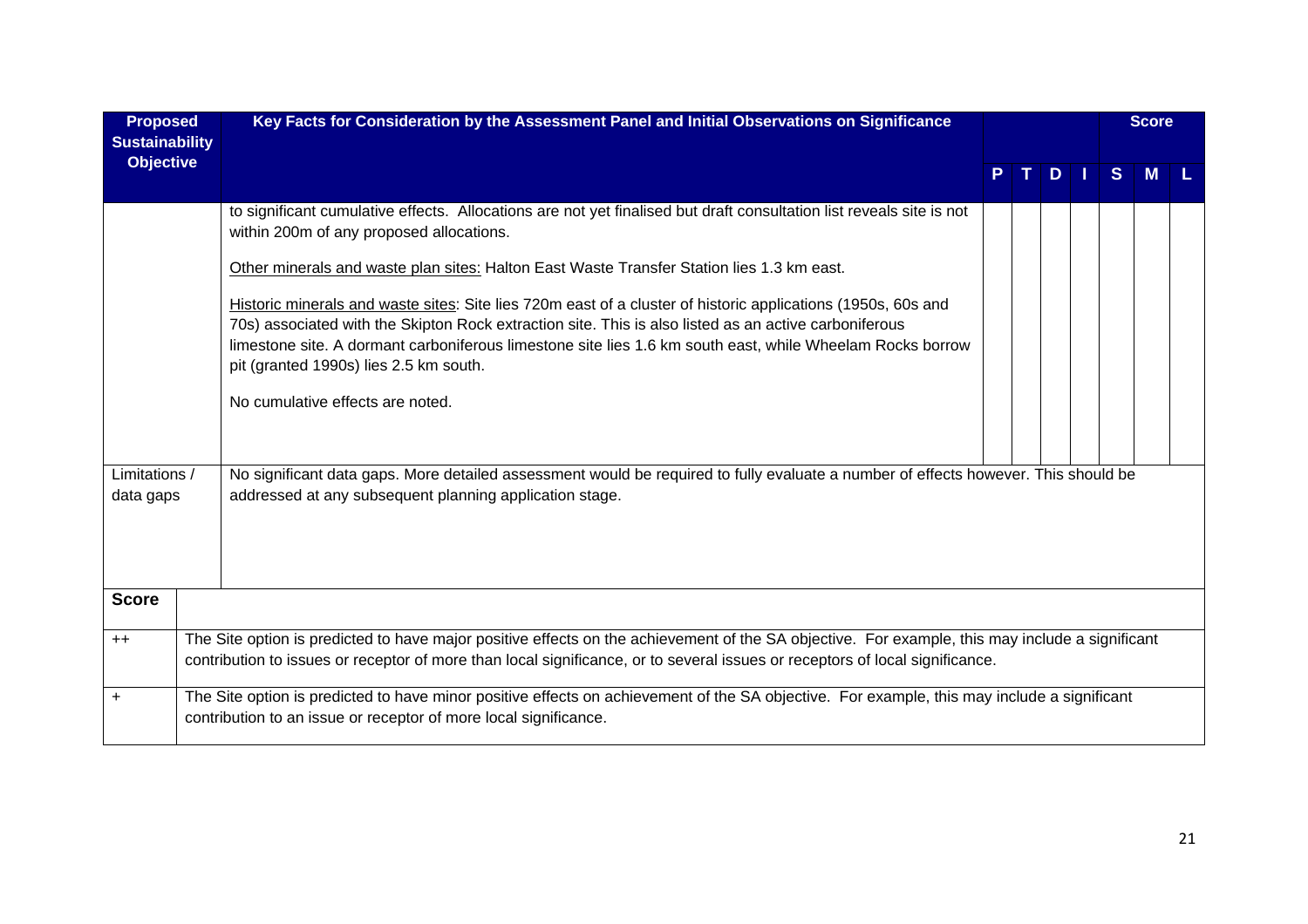| <b>Proposed</b>                           | Key Facts for Consideration by the Assessment Panel and Initial Observations on Significance                                                                                                                                                                                                                                                                                                                                                                                                                                                                                                                                                                                                                                                                                                                            |    |               |    | <b>Score</b> |  |
|-------------------------------------------|-------------------------------------------------------------------------------------------------------------------------------------------------------------------------------------------------------------------------------------------------------------------------------------------------------------------------------------------------------------------------------------------------------------------------------------------------------------------------------------------------------------------------------------------------------------------------------------------------------------------------------------------------------------------------------------------------------------------------------------------------------------------------------------------------------------------------|----|---------------|----|--------------|--|
| <b>Sustainability</b><br><b>Objective</b> |                                                                                                                                                                                                                                                                                                                                                                                                                                                                                                                                                                                                                                                                                                                                                                                                                         | T. | $D$   $\vert$ | S. | M            |  |
| Limitations /                             | to significant cumulative effects. Allocations are not yet finalised but draft consultation list reveals site is not<br>within 200m of any proposed allocations.<br>Other minerals and waste plan sites: Halton East Waste Transfer Station lies 1.3 km east.<br>Historic minerals and waste sites: Site lies 720m east of a cluster of historic applications (1950s, 60s and<br>70s) associated with the Skipton Rock extraction site. This is also listed as an active carboniferous<br>limestone site. A dormant carboniferous limestone site lies 1.6 km south east, while Wheelam Rocks borrow<br>pit (granted 1990s) lies 2.5 km south.<br>No cumulative effects are noted.<br>No significant data gaps. More detailed assessment would be required to fully evaluate a number of effects however. This should be |    |               |    |              |  |
| data gaps                                 | addressed at any subsequent planning application stage.                                                                                                                                                                                                                                                                                                                                                                                                                                                                                                                                                                                                                                                                                                                                                                 |    |               |    |              |  |
| <b>Score</b>                              |                                                                                                                                                                                                                                                                                                                                                                                                                                                                                                                                                                                                                                                                                                                                                                                                                         |    |               |    |              |  |
| $++$                                      | The Site option is predicted to have major positive effects on the achievement of the SA objective. For example, this may include a significant<br>contribution to issues or receptor of more than local significance, or to several issues or receptors of local significance.                                                                                                                                                                                                                                                                                                                                                                                                                                                                                                                                         |    |               |    |              |  |
| $+$                                       | The Site option is predicted to have minor positive effects on achievement of the SA objective. For example, this may include a significant<br>contribution to an issue or receptor of more local significance.                                                                                                                                                                                                                                                                                                                                                                                                                                                                                                                                                                                                         |    |               |    |              |  |